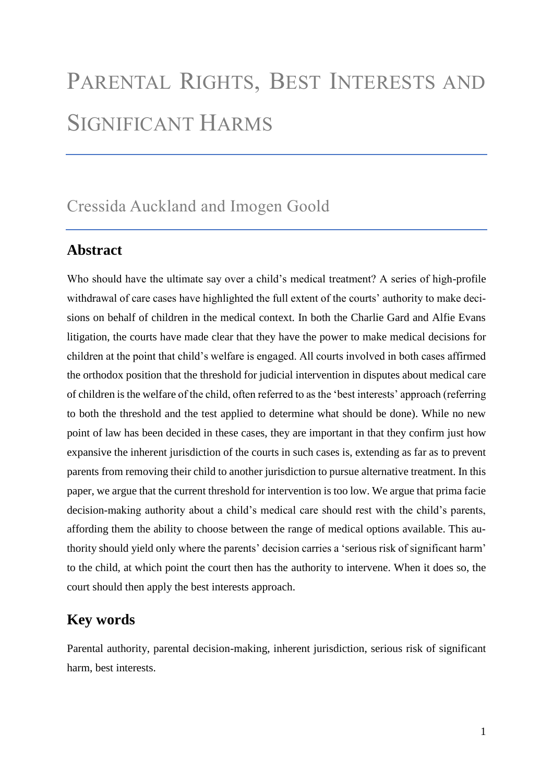# PARENTAL RIGHTS, BEST INTERESTS AND SIGNIFICANT HARMS

# Cressida Auckland and Imogen Goold

### **Abstract**

Who should have the ultimate say over a child's medical treatment? A series of high-profile withdrawal of care cases have highlighted the full extent of the courts' authority to make decisions on behalf of children in the medical context. In both the Charlie Gard and Alfie Evans litigation, the courts have made clear that they have the power to make medical decisions for children at the point that child's welfare is engaged. All courts involved in both cases affirmed the orthodox position that the threshold for judicial intervention in disputes about medical care of children is the welfare of the child, often referred to as the 'best interests' approach (referring to both the threshold and the test applied to determine what should be done). While no new point of law has been decided in these cases, they are important in that they confirm just how expansive the inherent jurisdiction of the courts in such cases is, extending as far as to prevent parents from removing their child to another jurisdiction to pursue alternative treatment. In this paper, we argue that the current threshold for intervention is too low. We argue that prima facie decision-making authority about a child's medical care should rest with the child's parents, affording them the ability to choose between the range of medical options available. This authority should yield only where the parents' decision carries a 'serious risk of significant harm' to the child, at which point the court then has the authority to intervene. When it does so, the court should then apply the best interests approach.

# **Key words**

Parental authority, parental decision-making, inherent jurisdiction, serious risk of significant harm, best interests.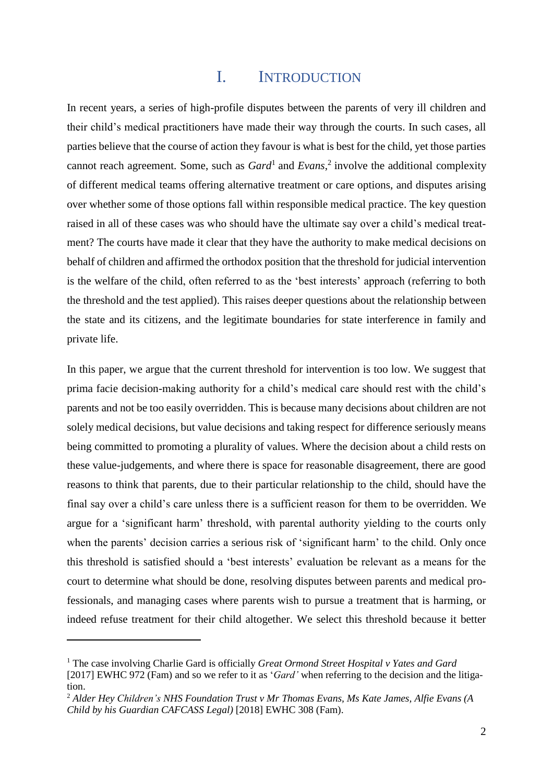### <span id="page-1-0"></span>I. INTRODUCTION

In recent years, a series of high-profile disputes between the parents of very ill children and their child's medical practitioners have made their way through the courts. In such cases, all parties believe that the course of action they favour is what is best for the child, yet those parties cannot reach agreement. Some, such as *Gard*<sup>1</sup> and *Evans*, 2 involve the additional complexity of different medical teams offering alternative treatment or care options, and disputes arising over whether some of those options fall within responsible medical practice. The key question raised in all of these cases was who should have the ultimate say over a child's medical treatment? The courts have made it clear that they have the authority to make medical decisions on behalf of children and affirmed the orthodox position that the threshold for judicial intervention is the welfare of the child, often referred to as the 'best interests' approach (referring to both the threshold and the test applied). This raises deeper questions about the relationship between the state and its citizens, and the legitimate boundaries for state interference in family and private life.

In this paper, we argue that the current threshold for intervention is too low. We suggest that prima facie decision-making authority for a child's medical care should rest with the child's parents and not be too easily overridden. This is because many decisions about children are not solely medical decisions, but value decisions and taking respect for difference seriously means being committed to promoting a plurality of values. Where the decision about a child rests on these value-judgements, and where there is space for reasonable disagreement, there are good reasons to think that parents, due to their particular relationship to the child, should have the final say over a child's care unless there is a sufficient reason for them to be overridden. We argue for a 'significant harm' threshold, with parental authority yielding to the courts only when the parents' decision carries a serious risk of 'significant harm' to the child. Only once this threshold is satisfied should a 'best interests' evaluation be relevant as a means for the court to determine what should be done, resolving disputes between parents and medical professionals, and managing cases where parents wish to pursue a treatment that is harming, or indeed refuse treatment for their child altogether. We select this threshold because it better

<sup>1</sup> The case involving Charlie Gard is officially *Great Ormond Street Hospital v Yates and Gard* [2017] EWHC 972 (Fam) and so we refer to it as '*Gard'* when referring to the decision and the litigation.

<sup>2</sup> *Alder Hey Children's NHS Foundation Trust v Mr Thomas Evans, Ms Kate James, Alfie Evans (A Child by his Guardian CAFCASS Legal)* [2018] EWHC 308 (Fam).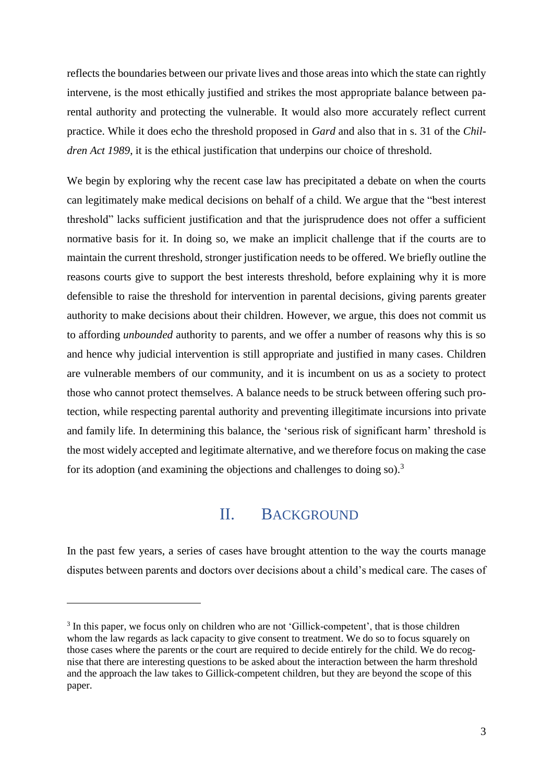reflects the boundaries between our private lives and those areas into which the state can rightly intervene, is the most ethically justified and strikes the most appropriate balance between parental authority and protecting the vulnerable. It would also more accurately reflect current practice. While it does echo the threshold proposed in *Gard* and also that in s. 31 of the *Children Act 1989*, it is the ethical justification that underpins our choice of threshold.

We begin by exploring why the recent case law has precipitated a debate on when the courts can legitimately make medical decisions on behalf of a child. We argue that the "best interest threshold" lacks sufficient justification and that the jurisprudence does not offer a sufficient normative basis for it. In doing so, we make an implicit challenge that if the courts are to maintain the current threshold, stronger justification needs to be offered. We briefly outline the reasons courts give to support the best interests threshold, before explaining why it is more defensible to raise the threshold for intervention in parental decisions, giving parents greater authority to make decisions about their children. However, we argue, this does not commit us to affording *unbounded* authority to parents, and we offer a number of reasons why this is so and hence why judicial intervention is still appropriate and justified in many cases. Children are vulnerable members of our community, and it is incumbent on us as a society to protect those who cannot protect themselves. A balance needs to be struck between offering such protection, while respecting parental authority and preventing illegitimate incursions into private and family life. In determining this balance, the 'serious risk of significant harm' threshold is the most widely accepted and legitimate alternative, and we therefore focus on making the case for its adoption (and examining the objections and challenges to doing so).<sup>3</sup>

#### II. BACKGROUND

In the past few years, a series of cases have brought attention to the way the courts manage disputes between parents and doctors over decisions about a child's medical care. The cases of

<sup>&</sup>lt;sup>3</sup> In this paper, we focus only on children who are not 'Gillick-competent', that is those children whom the law regards as lack capacity to give consent to treatment. We do so to focus squarely on those cases where the parents or the court are required to decide entirely for the child. We do recognise that there are interesting questions to be asked about the interaction between the harm threshold and the approach the law takes to Gillick-competent children, but they are beyond the scope of this paper.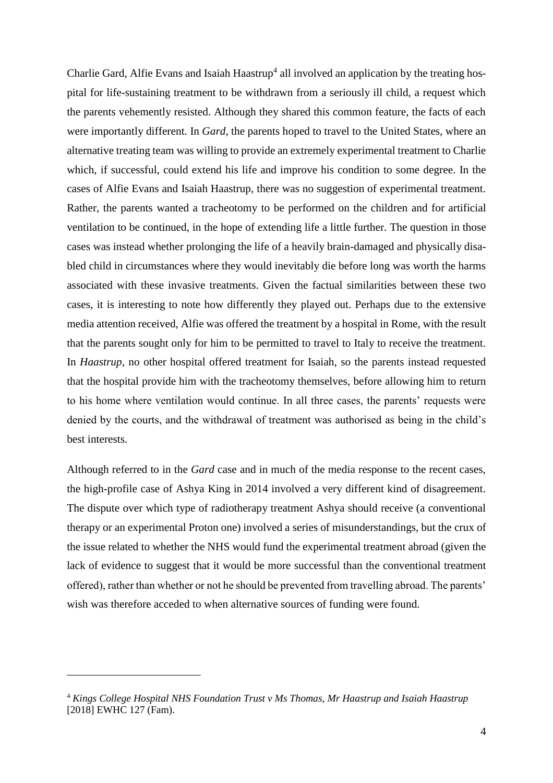<span id="page-3-0"></span>Charlie Gard, Alfie Evans and Isaiah Haastrup<sup>4</sup> all involved an application by the treating hospital for life-sustaining treatment to be withdrawn from a seriously ill child, a request which the parents vehemently resisted. Although they shared this common feature, the facts of each were importantly different. In *Gard*, the parents hoped to travel to the United States, where an alternative treating team was willing to provide an extremely experimental treatment to Charlie which, if successful, could extend his life and improve his condition to some degree. In the cases of Alfie Evans and Isaiah Haastrup, there was no suggestion of experimental treatment. Rather, the parents wanted a tracheotomy to be performed on the children and for artificial ventilation to be continued, in the hope of extending life a little further. The question in those cases was instead whether prolonging the life of a heavily brain-damaged and physically disabled child in circumstances where they would inevitably die before long was worth the harms associated with these invasive treatments. Given the factual similarities between these two cases, it is interesting to note how differently they played out. Perhaps due to the extensive media attention received, Alfie was offered the treatment by a hospital in Rome, with the result that the parents sought only for him to be permitted to travel to Italy to receive the treatment. In *Haastrup*, no other hospital offered treatment for Isaiah, so the parents instead requested that the hospital provide him with the tracheotomy themselves, before allowing him to return to his home where ventilation would continue. In all three cases, the parents' requests were denied by the courts, and the withdrawal of treatment was authorised as being in the child's best interests.

Although referred to in the *Gard* case and in much of the media response to the recent cases, the high-profile case of Ashya King in 2014 involved a very different kind of disagreement. The dispute over which type of radiotherapy treatment Ashya should receive (a conventional therapy or an experimental Proton one) involved a series of misunderstandings, but the crux of the issue related to whether the NHS would fund the experimental treatment abroad (given the lack of evidence to suggest that it would be more successful than the conventional treatment offered), rather than whether or not he should be prevented from travelling abroad. The parents' wish was therefore acceded to when alternative sources of funding were found.

<sup>4</sup> *Kings College Hospital NHS Foundation Trust v Ms Thomas, Mr Haastrup and Isaiah Haastrup* [2018] EWHC 127 (Fam).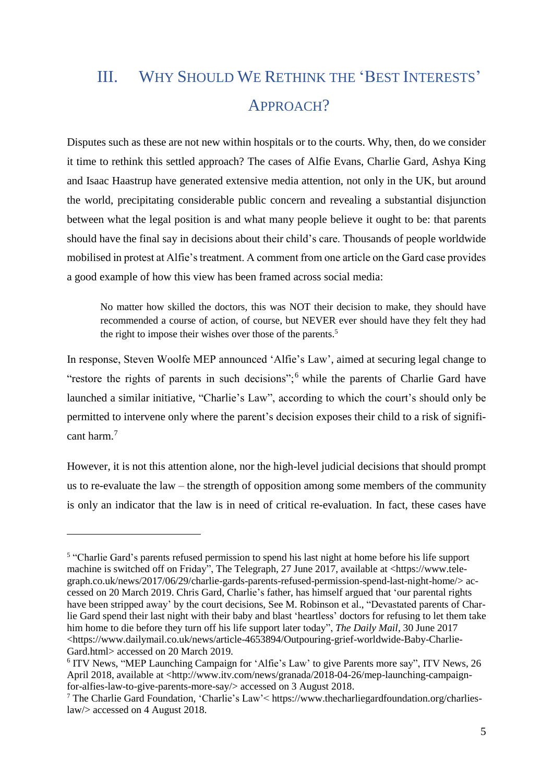# III. WHY SHOULD WE RETHINK THE 'BEST INTERESTS' APPROACH?

Disputes such as these are not new within hospitals or to the courts. Why, then, do we consider it time to rethink this settled approach? The cases of Alfie Evans, Charlie Gard, Ashya King and Isaac Haastrup have generated extensive media attention, not only in the UK, but around the world, precipitating considerable public concern and revealing a substantial disjunction between what the legal position is and what many people believe it ought to be: that parents should have the final say in decisions about their child's care. Thousands of people worldwide mobilised in protest at Alfie's treatment. A comment from one article on the Gard case provides a good example of how this view has been framed across social media:

No matter how skilled the doctors, this was NOT their decision to make, they should have recommended a course of action, of course, but NEVER ever should have they felt they had the right to impose their wishes over those of the parents.<sup>5</sup>

In response, Steven Woolfe MEP announced 'Alfie's Law', aimed at securing legal change to "restore the rights of parents in such decisions";<sup>6</sup> while the parents of Charlie Gard have launched a similar initiative, "Charlie's Law", according to which the court's should only be permitted to intervene only where the parent's decision exposes their child to a risk of significant harm.<sup>7</sup>

However, it is not this attention alone, nor the high-level judicial decisions that should prompt us to re-evaluate the law – the strength of opposition among some members of the community is only an indicator that the law is in need of critical re-evaluation. In fact, these cases have

<sup>&</sup>lt;sup>5</sup> "Charlie Gard's parents refused permission to spend his last night at home before his life support machine is switched off on Friday", The Telegraph, 27 June 2017, available at <https://www.telegraph.co.uk/news/2017/06/29/charlie-gards-parents-refused-permission-spend-last-night-home/> accessed on 20 March 2019. Chris Gard, Charlie's father, has himself argued that 'our parental rights have been stripped away' by the court decisions, See M. Robinson et al., "Devastated parents of Charlie Gard spend their last night with their baby and blast 'heartless' doctors for refusing to let them take him home to die before they turn off his life support later today", *The Daily Mail,* 30 June 2017 [<https://www.dailymail.co.uk/news/article-4653894/Outpouring-grief-worldwide-Baby-Charlie-](https://www.dailymail.co.uk/news/article-4653894/Outpouring-grief-worldwide-Baby-Charlie-Gard.html)[Gard.html>](https://www.dailymail.co.uk/news/article-4653894/Outpouring-grief-worldwide-Baby-Charlie-Gard.html) accessed on 20 March 2019.

<sup>&</sup>lt;sup>6</sup> ITV News, "MEP Launching Campaign for 'Alfie's Law' to give Parents more say", ITV News, 26 April 2018, available at [<http://www.itv.com/news/granada/2018-04-26/mep-launching-campaign](http://www.itv.com/news/granada/2018-04-26/mep-launching-campaign-for-alfies-law-to-give-parents-more-say/)[for-alfies-law-to-give-parents-more-say/>](http://www.itv.com/news/granada/2018-04-26/mep-launching-campaign-for-alfies-law-to-give-parents-more-say/) accessed on 3 August 2018.

<sup>7</sup> The Charlie Gard Foundation, 'Charlie's Law'< [https://www.thecharliegardfoundation.org/charlies](https://www.thecharliegardfoundation.org/charlies-law/)[law/>](https://www.thecharliegardfoundation.org/charlies-law/) accessed on 4 August 2018.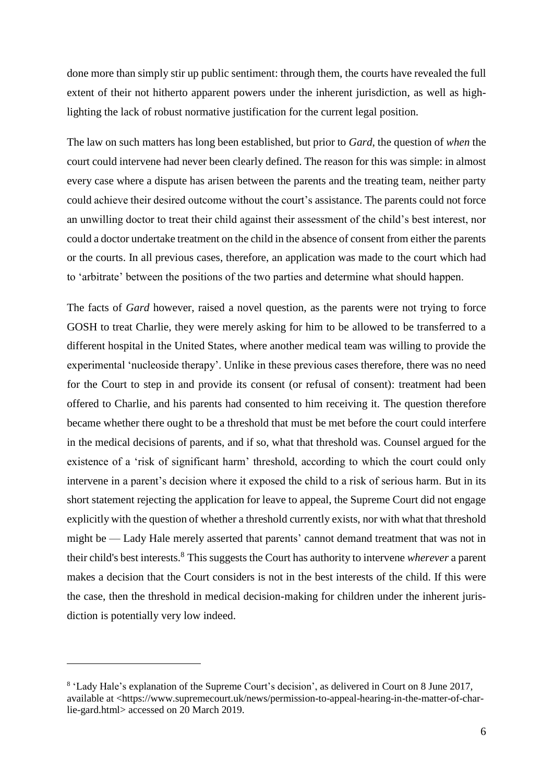done more than simply stir up public sentiment: through them, the courts have revealed the full extent of their not hitherto apparent powers under the inherent jurisdiction, as well as highlighting the lack of robust normative justification for the current legal position.

The law on such matters has long been established, but prior to *Gard*, the question of *when* the court could intervene had never been clearly defined. The reason for this was simple: in almost every case where a dispute has arisen between the parents and the treating team, neither party could achieve their desired outcome without the court's assistance. The parents could not force an unwilling doctor to treat their child against their assessment of the child's best interest, nor could a doctor undertake treatment on the child in the absence of consent from either the parents or the courts. In all previous cases, therefore, an application was made to the court which had to 'arbitrate' between the positions of the two parties and determine what should happen.

The facts of *Gard* however, raised a novel question, as the parents were not trying to force GOSH to treat Charlie, they were merely asking for him to be allowed to be transferred to a different hospital in the United States, where another medical team was willing to provide the experimental 'nucleoside therapy'. Unlike in these previous cases therefore, there was no need for the Court to step in and provide its consent (or refusal of consent): treatment had been offered to Charlie, and his parents had consented to him receiving it. The question therefore became whether there ought to be a threshold that must be met before the court could interfere in the medical decisions of parents, and if so, what that threshold was. Counsel argued for the existence of a 'risk of significant harm' threshold, according to which the court could only intervene in a parent's decision where it exposed the child to a risk of serious harm. But in its short statement rejecting the application for leave to appeal, the Supreme Court did not engage explicitly with the question of whether a threshold currently exists, nor with what that threshold might be — Lady Hale merely asserted that parents' cannot demand treatment that was not in their child's best interests.<sup>8</sup> This suggests the Court has authority to intervene *wherever* a parent makes a decision that the Court considers is not in the best interests of the child. If this were the case, then the threshold in medical decision-making for children under the inherent jurisdiction is potentially very low indeed.

<sup>&</sup>lt;sup>8</sup> 'Lady Hale's explanation of the Supreme Court's decision', as delivered in Court on 8 June 2017, available at [<https://www.supremecourt.uk/news/permission-to-appeal-hearing-in-the-matter-of-char](https://www.supremecourt.uk/news/permission-to-appeal-hearing-in-the-matter-of-charlie-gard.html)[lie-gard.html>](https://www.supremecourt.uk/news/permission-to-appeal-hearing-in-the-matter-of-charlie-gard.html) accessed on 20 March 2019.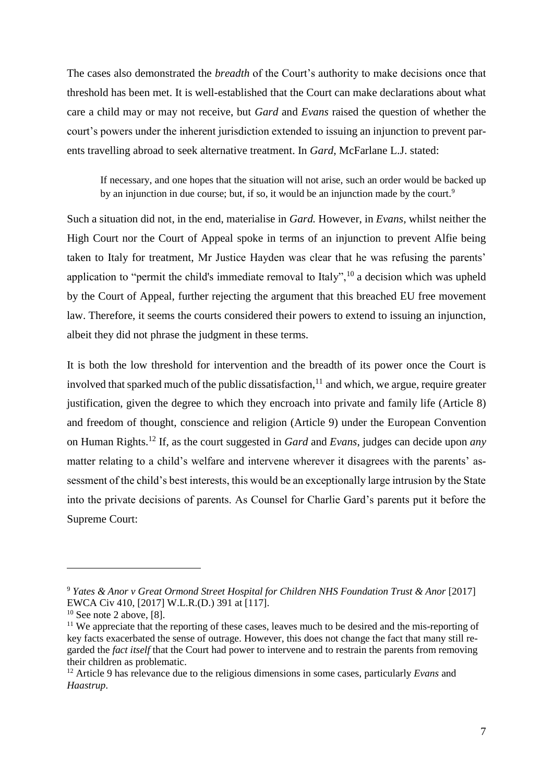The cases also demonstrated the *breadth* of the Court's authority to make decisions once that threshold has been met. It is well-established that the Court can make declarations about what care a child may or may not receive, but *Gard* and *Evans* raised the question of whether the court's powers under the inherent jurisdiction extended to issuing an injunction to prevent parents travelling abroad to seek alternative treatment. In *Gard*, McFarlane L.J. stated:

If necessary, and one hopes that the situation will not arise, such an order would be backed up by an injunction in due course; but, if so, it would be an injunction made by the court.<sup>9</sup>

Such a situation did not, in the end, materialise in *Gard.* However, in *Evans,* whilst neither the High Court nor the Court of Appeal spoke in terms of an injunction to prevent Alfie being taken to Italy for treatment, Mr Justice Hayden was clear that he was refusing the parents' application to "permit the child's immediate removal to Italy",  $^{10}$  a decision which was upheld by the Court of Appeal, further rejecting the argument that this breached EU free movement law. Therefore, it seems the courts considered their powers to extend to issuing an injunction, albeit they did not phrase the judgment in these terms.

It is both the low threshold for intervention and the breadth of its power once the Court is involved that sparked much of the public dissatisfaction,  $11$  and which, we argue, require greater justification, given the degree to which they encroach into private and family life (Article 8) and freedom of thought, conscience and religion (Article 9) under the European Convention on Human Rights. <sup>12</sup> If, as the court suggested in *Gard* and *Evans*, judges can decide upon *any*  matter relating to a child's welfare and intervene wherever it disagrees with the parents' assessment of the child's best interests, this would be an exceptionally large intrusion by the State into the private decisions of parents. As Counsel for Charlie Gard's parents put it before the Supreme Court:

<sup>9</sup> *Yates & Anor v Great Ormond Street Hospital for Children NHS Foundation Trust & Anor* [2017] EWCA Civ 410, [2017] W.L.R.(D.) 391 at [117].

 $10$  See note [2](#page-1-0) above, [8].

<sup>&</sup>lt;sup>11</sup> We appreciate that the reporting of these cases, leaves much to be desired and the mis-reporting of key facts exacerbated the sense of outrage. However, this does not change the fact that many still regarded the *fact itself* that the Court had power to intervene and to restrain the parents from removing their children as problematic.

<sup>12</sup> Article 9 has relevance due to the religious dimensions in some cases, particularly *Evans* and *Haastrup*.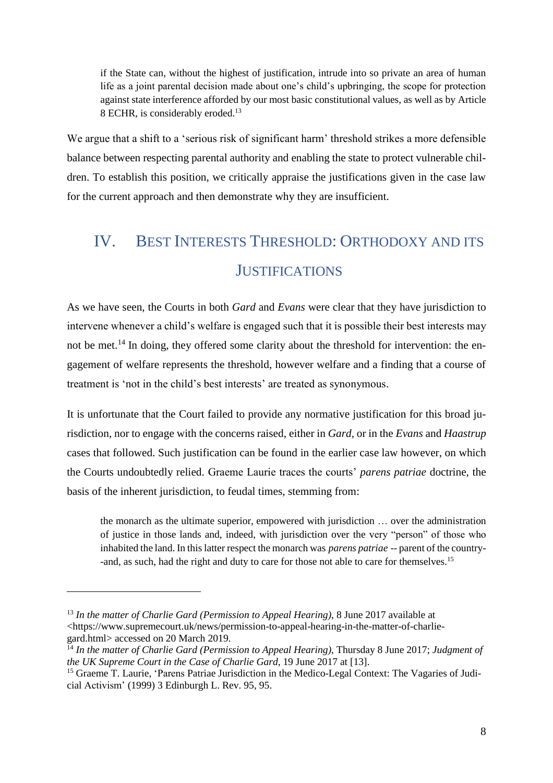<span id="page-7-0"></span>if the State can, without the highest of justification, intrude into so private an area of human life as a joint parental decision made about one's child's upbringing, the scope for protection against state interference afforded by our most basic constitutional values, as well as by Article 8 ECHR, is considerably eroded.<sup>13</sup>

We argue that a shift to a 'serious risk of significant harm' threshold strikes a more defensible balance between respecting parental authority and enabling the state to protect vulnerable children. To establish this position, we critically appraise the justifications given in the case law for the current approach and then demonstrate why they are insufficient.

# IV. BEST INTERESTS THRESHOLD: ORTHODOXY AND ITS **JUSTIFICATIONS**

As we have seen, the Courts in both *Gard* and *Evans* were clear that they have jurisdiction to intervene whenever a child's welfare is engaged such that it is possible their best interests may not be met.<sup>14</sup> In doing, they offered some clarity about the threshold for intervention: the engagement of welfare represents the threshold, however welfare and a finding that a course of treatment is 'not in the child's best interests' are treated as synonymous.

It is unfortunate that the Court failed to provide any normative justification for this broad jurisdiction, nor to engage with the concerns raised, either in *Gard,* or in the *Evans* and *Haastrup* cases that followed. Such justification can be found in the earlier case law however, on which the Courts undoubtedly relied. Graeme Laurie traces the courts' *parens patriae* doctrine, the basis of the inherent jurisdiction, to feudal times, stemming from:

the monarch as the ultimate superior, empowered with jurisdiction … over the administration of justice in those lands and, indeed, with jurisdiction over the very "person" of those who inhabited the land. In this latter respect the monarch was *parens patriae* -- parent of the country- -and, as such, had the right and duty to care for those not able to care for themselves.<sup>15</sup>

<sup>13</sup> *In the matter of Charlie Gard (Permission to Appeal Hearing)*, 8 June 2017 available at [<https://www.supremecourt.uk/news/permission-to-appeal-hearing-in-the-matter-of-charlie](https://www.supremecourt.uk/news/permission-to-appeal-hearing-in-the-matter-of-charlie-gard.html)[gard.html>](https://www.supremecourt.uk/news/permission-to-appeal-hearing-in-the-matter-of-charlie-gard.html) accessed on 20 March 2019.

<sup>14</sup> *In the matter of Charlie Gard (Permission to Appeal Hearing)*, Thursday 8 June 2017; *Judgment of the UK Supreme Court in the Case of Charlie Gard*, 19 June 2017 at [13].

<sup>&</sup>lt;sup>15</sup> Graeme T. Laurie, 'Parens Patriae Jurisdiction in the Medico-Legal Context: The Vagaries of Judicial Activism' (1999) 3 Edinburgh L. Rev. 95, 95.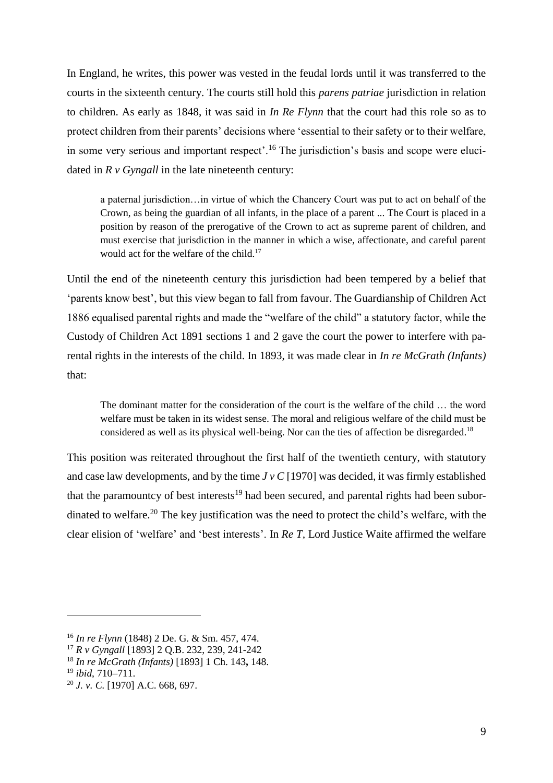In England, he writes, this power was vested in the feudal lords until it was transferred to the courts in the sixteenth century. The courts still hold this *parens patriae* jurisdiction in relation to children. As early as 1848, it was said in *In Re Flynn* that the court had this role so as to protect children from their parents' decisions where 'essential to their safety or to their welfare, in some very serious and important respect'.<sup>16</sup> The jurisdiction's basis and scope were elucidated in  $R \vee G$  *yngall* in the late nineteenth century:

a paternal jurisdiction…in virtue of which the Chancery Court was put to act on behalf of the Crown, as being the guardian of all infants, in the place of a parent ... The Court is placed in a position by reason of the prerogative of the Crown to act as supreme parent of children, and must exercise that jurisdiction in the manner in which a wise, affectionate, and careful parent would act for the welfare of the child.<sup>17</sup>

Until the end of the nineteenth century this jurisdiction had been tempered by a belief that 'parents know best', but this view began to fall from favour. The Guardianship of Children Act 1886 equalised parental rights and made the "welfare of the child" a statutory factor, while the Custody of Children Act 1891 sections 1 and 2 gave the court the power to interfere with parental rights in the interests of the child. In 1893, it was made clear in *In re McGrath (Infants)* that:

The dominant matter for the consideration of the court is the welfare of the child … the word welfare must be taken in its widest sense. The moral and religious welfare of the child must be considered as well as its physical well-being. Nor can the ties of affection be disregarded.<sup>18</sup>

This position was reiterated throughout the first half of the twentieth century, with statutory and case law developments, and by the time *J v C* [1970] was decided, it was firmly established that the paramountcy of best interests<sup>19</sup> had been secured, and parental rights had been subordinated to welfare.<sup>20</sup> The key justification was the need to protect the child's welfare, with the clear elision of 'welfare' and 'best interests'. In *Re T,* Lord Justice Waite affirmed the welfare

<sup>16</sup> *In re Flynn* (1848) 2 De. G. & Sm. 457, 474.

<sup>17</sup> *R v Gyngall* [1893] 2 Q.B. 232, 239, 241-242

<sup>18</sup> *In re McGrath (Infants)* [1893] 1 Ch. 143**,** 148.

<sup>19</sup> *ibid*, 710–711.

<sup>20</sup> *J. v. C.* [1970] A.C. 668*,* 697.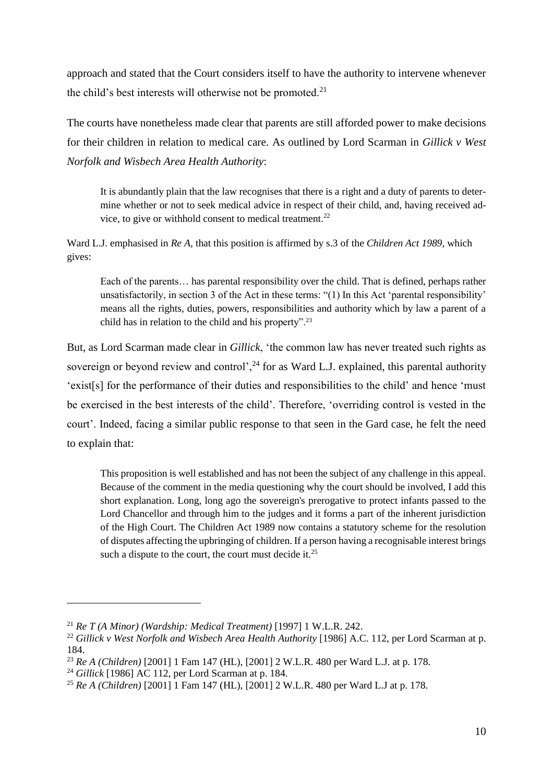approach and stated that the Court considers itself to have the authority to intervene whenever the child's best interests will otherwise not be promoted.<sup>21</sup>

The courts have nonetheless made clear that parents are still afforded power to make decisions for their children in relation to medical care. As outlined by Lord Scarman in *Gillick v West Norfolk and Wisbech Area Health Authority*:

<span id="page-9-0"></span>It is abundantly plain that the law recognises that there is a right and a duty of parents to determine whether or not to seek medical advice in respect of their child, and, having received advice, to give or withhold consent to medical treatment.<sup>22</sup>

Ward L.J. emphasised in *Re A*, that this position is affirmed by s.3 of the *Children Act 1989*, which gives:

Each of the parents… has parental responsibility over the child. That is defined, perhaps rather unsatisfactorily, in section 3 of the Act in these terms: "(1) In this Act 'parental responsibility' means all the rights, duties, powers, responsibilities and authority which by law a parent of a child has in relation to the child and his property".<sup>23</sup>

But, as Lord Scarman made clear in *Gillick*, 'the common law has never treated such rights as sovereign or beyond review and control',<sup>24</sup> for as Ward L.J. explained, this parental authority 'exist[s] for the performance of their duties and responsibilities to the child' and hence 'must be exercised in the best interests of the child'. Therefore, 'overriding control is vested in the court'. Indeed, facing a similar public response to that seen in the Gard case, he felt the need to explain that:

This proposition is well established and has not been the subject of any challenge in this appeal. Because of the comment in the media questioning why the court should be involved, I add this short explanation. Long, long ago the sovereign's prerogative to protect infants passed to the Lord Chancellor and through him to the judges and it forms a part of the inherent jurisdiction of the High Court. The Children Act 1989 now contains a statutory scheme for the resolution of disputes affecting the upbringing of children. If a person having a recognisable interest brings such a dispute to the court, the court must decide it.<sup>25</sup>

<sup>21</sup> *Re T (A Minor) (Wardship: Medical Treatment)* [1997] 1 W.L.R. 242.

<sup>&</sup>lt;sup>22</sup> Gillick v West Norfolk and Wisbech Area Health Authority [1986] A.C. 112, per Lord Scarman at p. 184.

<sup>23</sup> *Re A (Children)* [2001] 1 Fam 147 (HL), [2001] 2 W.L.R. 480 per Ward L.J. at p. 178.

<sup>24</sup> *Gillick* [1986] AC 112, per Lord Scarman at p. 184.

<sup>25</sup> *Re A (Children)* [2001] 1 Fam 147 (HL), [2001] 2 W.L.R. 480 per Ward L.J at p. 178.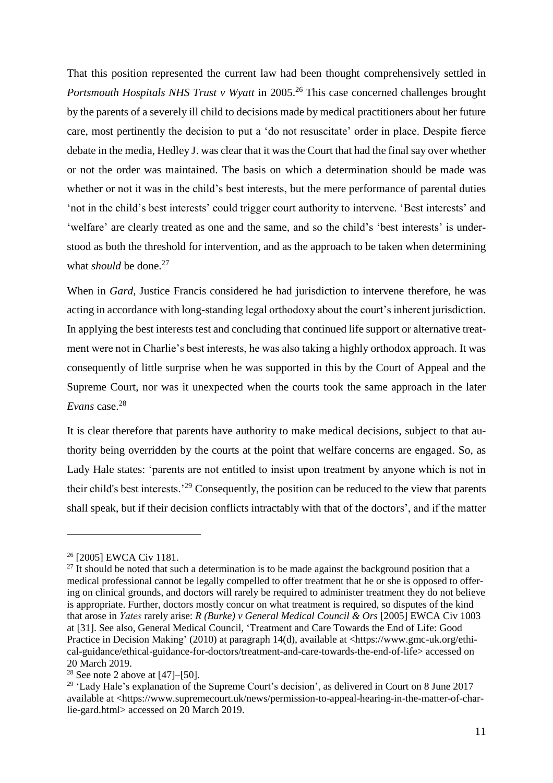That this position represented the current law had been thought comprehensively settled in *Portsmouth Hospitals NHS Trust v Wyatt* in 2005.<sup>26</sup> This case concerned challenges brought by the parents of a severely ill child to decisions made by medical practitioners about her future care, most pertinently the decision to put a 'do not resuscitate' order in place. Despite fierce debate in the media, Hedley J. was clear that it was the Court that had the final say over whether or not the order was maintained. The basis on which a determination should be made was whether or not it was in the child's best interests, but the mere performance of parental duties 'not in the child's best interests' could trigger court authority to intervene. 'Best interests' and 'welfare' are clearly treated as one and the same, and so the child's 'best interests' is understood as both the threshold for intervention, and as the approach to be taken when determining what *should* be done. 27

When in *Gard*, Justice Francis considered he had jurisdiction to intervene therefore, he was acting in accordance with long-standing legal orthodoxy about the court's inherent jurisdiction. In applying the best interests test and concluding that continued life support or alternative treatment were not in Charlie's best interests, he was also taking a highly orthodox approach. It was consequently of little surprise when he was supported in this by the Court of Appeal and the Supreme Court, nor was it unexpected when the courts took the same approach in the later *Evans* case.<sup>28</sup>

It is clear therefore that parents have authority to make medical decisions, subject to that authority being overridden by the courts at the point that welfare concerns are engaged. So, as Lady Hale states: 'parents are not entitled to insist upon treatment by anyone which is not in their child's best interests.'<sup>29</sup> Consequently, the position can be reduced to the view that parents shall speak, but if their decision conflicts intractably with that of the doctors', and if the matter

<sup>&</sup>lt;sup>26</sup> [2005] EWCA Civ 1181.

 $27$  It should be noted that such a determination is to be made against the background position that a medical professional cannot be legally compelled to offer treatment that he or she is opposed to offering on clinical grounds, and doctors will rarely be required to administer treatment they do not believe is appropriate. Further, doctors mostly concur on what treatment is required, so disputes of the kind that arose in *Yates* rarely arise: *R (Burke) v General Medical Council & Ors* [2005] EWCA Civ 1003 at [31]. See also, General Medical Council, 'Treatment and Care Towards the End of Life: Good Practice in Decision Making' (2010) at paragraph 14(d), available at [<https://www.gmc-uk.org/ethi](https://www.gmc-uk.org/ethical-guidance/ethical-guidance-for-doctors/treatment-and-care-towards-the-end-of-life)[cal-guidance/ethical-guidance-for-doctors/treatment-and-care-towards-the-end-of-life>](https://www.gmc-uk.org/ethical-guidance/ethical-guidance-for-doctors/treatment-and-care-towards-the-end-of-life) accessed on 20 March 2019.

<sup>&</sup>lt;sup>[2](#page-1-0)8</sup> See note 2 above at  $[47]$ – $[50]$ .

<sup>&</sup>lt;sup>29</sup> 'Lady Hale's explanation of the Supreme Court's decision', as delivered in Court on 8 June 2017 available at [<https://www.supremecourt.uk/news/permission-to-appeal-hearing-in-the-matter-of-char](https://www.supremecourt.uk/news/permission-to-appeal-hearing-in-the-matter-of-charlie-gard.html)[lie-gard.html>](https://www.supremecourt.uk/news/permission-to-appeal-hearing-in-the-matter-of-charlie-gard.html) accessed on 20 March 2019.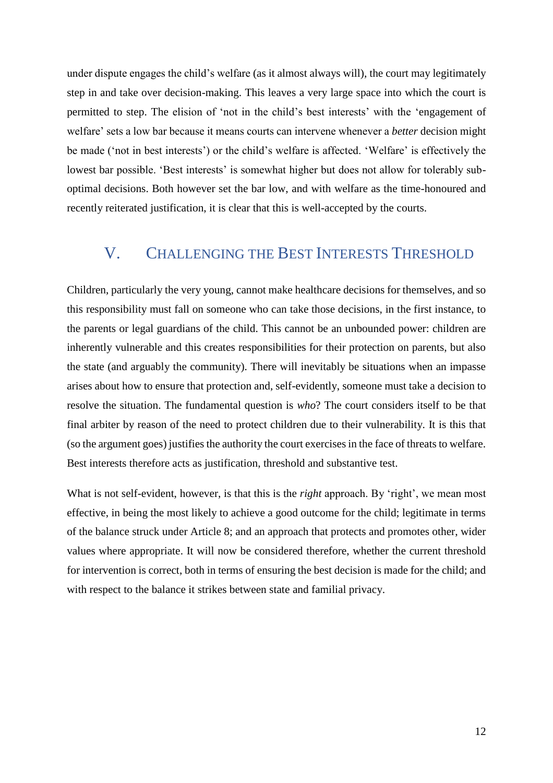under dispute engages the child's welfare (as it almost always will), the court may legitimately step in and take over decision-making. This leaves a very large space into which the court is permitted to step. The elision of 'not in the child's best interests' with the 'engagement of welfare' sets a low bar because it means courts can intervene whenever a *better* decision might be made ('not in best interests') or the child's welfare is affected. 'Welfare' is effectively the lowest bar possible. 'Best interests' is somewhat higher but does not allow for tolerably suboptimal decisions. Both however set the bar low, and with welfare as the time-honoured and recently reiterated justification, it is clear that this is well-accepted by the courts.

### V. CHALLENGING THE BEST INTERESTS THRESHOLD

Children, particularly the very young, cannot make healthcare decisions for themselves, and so this responsibility must fall on someone who can take those decisions, in the first instance, to the parents or legal guardians of the child. This cannot be an unbounded power: children are inherently vulnerable and this creates responsibilities for their protection on parents, but also the state (and arguably the community). There will inevitably be situations when an impasse arises about how to ensure that protection and, self-evidently, someone must take a decision to resolve the situation. The fundamental question is *who*? The court considers itself to be that final arbiter by reason of the need to protect children due to their vulnerability. It is this that (so the argument goes) justifies the authority the court exercises in the face of threats to welfare. Best interests therefore acts as justification, threshold and substantive test.

What is not self-evident, however, is that this is the *right* approach. By 'right', we mean most effective, in being the most likely to achieve a good outcome for the child; legitimate in terms of the balance struck under Article 8; and an approach that protects and promotes other, wider values where appropriate. It will now be considered therefore, whether the current threshold for intervention is correct, both in terms of ensuring the best decision is made for the child; and with respect to the balance it strikes between state and familial privacy.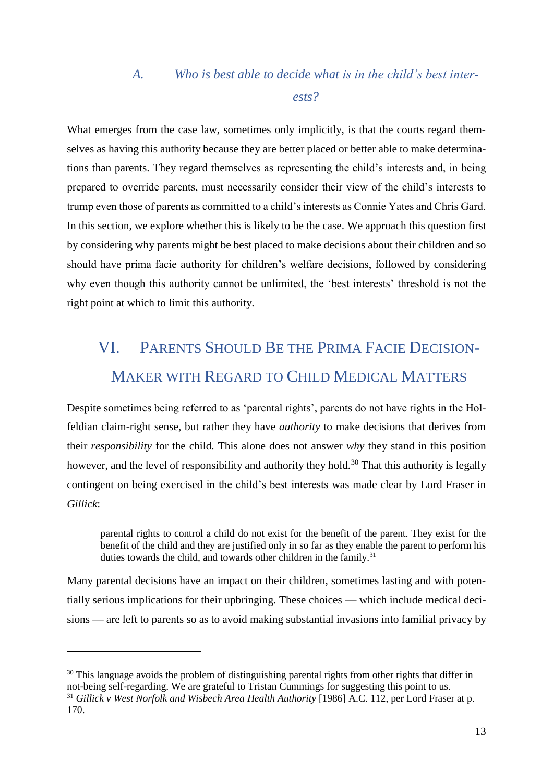## *A. Who is best able to decide what is in the child's best interests?*

What emerges from the case law, sometimes only implicitly, is that the courts regard themselves as having this authority because they are better placed or better able to make determinations than parents. They regard themselves as representing the child's interests and, in being prepared to override parents, must necessarily consider their view of the child's interests to trump even those of parents as committed to a child's interests as Connie Yates and Chris Gard. In this section, we explore whether this is likely to be the case. We approach this question first by considering why parents might be best placed to make decisions about their children and so should have prima facie authority for children's welfare decisions, followed by considering why even though this authority cannot be unlimited, the 'best interests' threshold is not the right point at which to limit this authority.

# VI. PARENTS SHOULD BE THE PRIMA FACIE DECISION-MAKER WITH REGARD TO CHILD MEDICAL MATTERS

Despite sometimes being referred to as 'parental rights', parents do not have rights in the Holfeldian claim-right sense, but rather they have *authority* to make decisions that derives from their *responsibility* for the child. This alone does not answer *why* they stand in this position however, and the level of responsibility and authority they hold.<sup>30</sup> That this authority is legally contingent on being exercised in the child's best interests was made clear by Lord Fraser in *Gillick*:

parental rights to control a child do not exist for the benefit of the parent. They exist for the benefit of the child and they are justified only in so far as they enable the parent to perform his duties towards the child, and towards other children in the family.<sup>31</sup>

Many parental decisions have an impact on their children, sometimes lasting and with potentially serious implications for their upbringing. These choices — which include medical decisions — are left to parents so as to avoid making substantial invasions into familial privacy by

<sup>&</sup>lt;sup>30</sup> This language avoids the problem of distinguishing parental rights from other rights that differ in not-being self-regarding. We are grateful to Tristan Cummings for suggesting this point to us. <sup>31</sup> *Gillick v West Norfolk and Wisbech Area Health Authority* [1986] A.C. 112, per Lord Fraser at p. 170.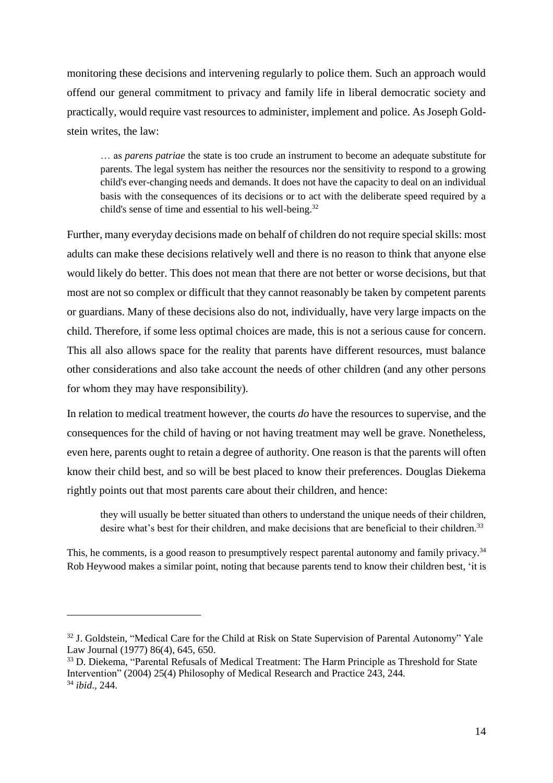monitoring these decisions and intervening regularly to police them. Such an approach would offend our general commitment to privacy and family life in liberal democratic society and practically, would require vast resources to administer, implement and police. As Joseph Goldstein writes, the law:

<span id="page-13-0"></span>… as *parens patriae* the state is too crude an instrument to become an adequate substitute for parents. The legal system has neither the resources nor the sensitivity to respond to a growing child's ever-changing needs and demands. It does not have the capacity to deal on an individual basis with the consequences of its decisions or to act with the deliberate speed required by a child's sense of time and essential to his well-being.<sup>32</sup>

Further, many everyday decisions made on behalf of children do not require special skills: most adults can make these decisions relatively well and there is no reason to think that anyone else would likely do better. This does not mean that there are not better or worse decisions, but that most are not so complex or difficult that they cannot reasonably be taken by competent parents or guardians. Many of these decisions also do not, individually, have very large impacts on the child. Therefore, if some less optimal choices are made, this is not a serious cause for concern. This all also allows space for the reality that parents have different resources, must balance other considerations and also take account the needs of other children (and any other persons for whom they may have responsibility).

In relation to medical treatment however, the courts *do* have the resources to supervise, and the consequences for the child of having or not having treatment may well be grave. Nonetheless, even here, parents ought to retain a degree of authority. One reason is that the parents will often know their child best, and so will be best placed to know their preferences. Douglas Diekema rightly points out that most parents care about their children, and hence:

<span id="page-13-1"></span>they will usually be better situated than others to understand the unique needs of their children, desire what's best for their children, and make decisions that are beneficial to their children.<sup>33</sup>

This, he comments, is a good reason to presumptively respect parental autonomy and family privacy.<sup>34</sup> Rob Heywood makes a similar point, noting that because parents tend to know their children best, 'it is

<sup>&</sup>lt;sup>32</sup> J. Goldstein, "Medical Care for the Child at Risk on State Supervision of Parental Autonomy" Yale Law Journal (1977) 86(4), 645, 650.

<sup>&</sup>lt;sup>33</sup> D. Diekema, "Parental Refusals of Medical Treatment: The Harm Principle as Threshold for State Intervention" (2004) 25(4) Philosophy of Medical Research and Practice 243, 244. <sup>34</sup> *ibid*.*,* 244.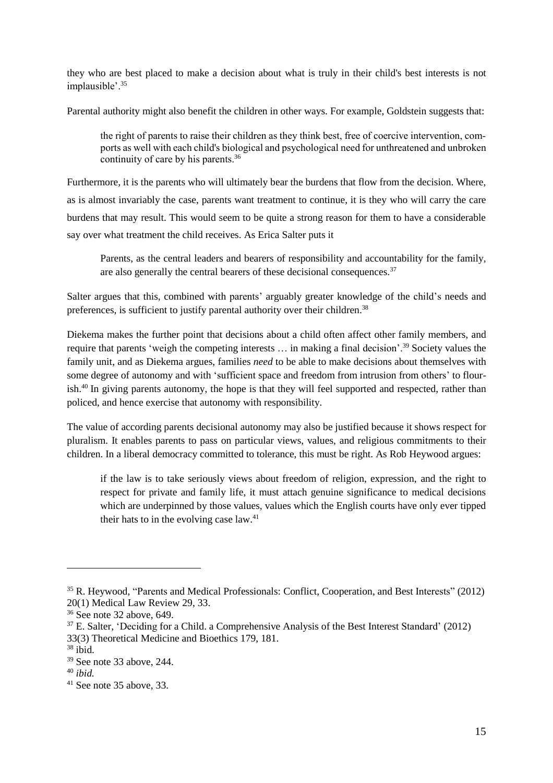they who are best placed to make a decision about what is truly in their child's best interests is not implausible'.<sup>35</sup>

Parental authority might also benefit the children in other ways. For example, Goldstein suggests that:

<span id="page-14-0"></span>the right of parents to raise their children as they think best, free of coercive intervention, comports as well with each child's biological and psychological need for unthreatened and unbroken continuity of care by his parents.<sup>36</sup>

Furthermore, it is the parents who will ultimately bear the burdens that flow from the decision. Where, as is almost invariably the case, parents want treatment to continue, it is they who will carry the care burdens that may result. This would seem to be quite a strong reason for them to have a considerable say over what treatment the child receives. As Erica Salter puts it

<span id="page-14-1"></span>Parents, as the central leaders and bearers of responsibility and accountability for the family, are also generally the central bearers of these decisional consequences.<sup>37</sup>

Salter argues that this, combined with parents' arguably greater knowledge of the child's needs and preferences, is sufficient to justify parental authority over their children.<sup>38</sup>

Diekema makes the further point that decisions about a child often affect other family members, and require that parents 'weigh the competing interests … in making a final decision'.<sup>39</sup> Society values the family unit, and as Diekema argues, families *need* to be able to make decisions about themselves with some degree of autonomy and with 'sufficient space and freedom from intrusion from others' to flourish.<sup>40</sup> In giving parents autonomy, the hope is that they will feel supported and respected, rather than policed, and hence exercise that autonomy with responsibility.

The value of according parents decisional autonomy may also be justified because it shows respect for pluralism. It enables parents to pass on particular views, values, and religious commitments to their children. In a liberal democracy committed to tolerance, this must be right. As Rob Heywood argues:

if the law is to take seriously views about freedom of religion, expression, and the right to respect for private and family life, it must attach genuine significance to medical decisions which are underpinned by those values, values which the English courts have only ever tipped their hats to in the evolving case law.<sup>41</sup>

<sup>35</sup> R. Heywood, "Parents and Medical Professionals: Conflict, Cooperation, and Best Interests" (2012) 20(1) Medical Law Review 29, 33.

<sup>36</sup> See note [32](#page-13-0) above, 649.

<sup>37</sup> E. Salter, 'Deciding for a Child. a Comprehensive Analysis of the Best Interest Standard' (2012) 33(3) Theoretical Medicine and Bioethics 179, 181.

<sup>38</sup> ibid.

<sup>39</sup> See note [33](#page-13-1) above, 244.

<sup>40</sup> *ibid.*

 $41$  See note [35](#page-14-0) above, 33.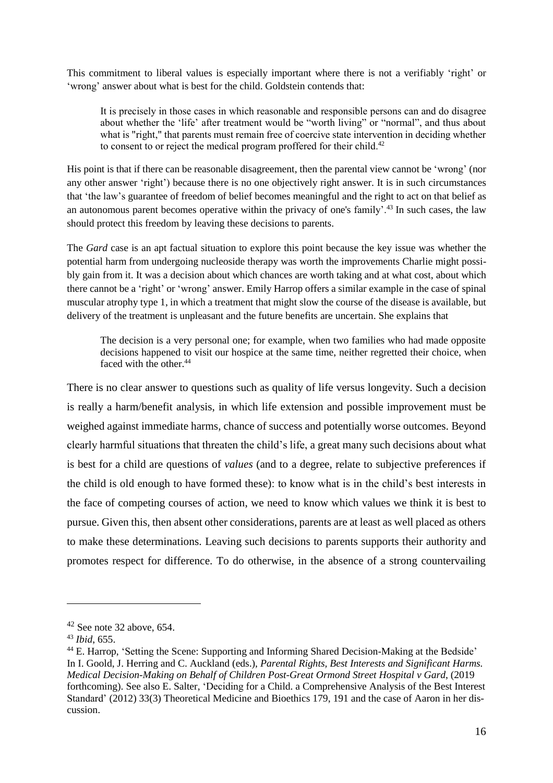This commitment to liberal values is especially important where there is not a verifiably 'right' or 'wrong' answer about what is best for the child. Goldstein contends that:

It is precisely in those cases in which reasonable and responsible persons can and do disagree about whether the 'life' after treatment would be "worth living" or "normal", and thus about what is "right," that parents must remain free of coercive state intervention in deciding whether to consent to or reject the medical program proffered for their child.<sup>42</sup>

His point is that if there can be reasonable disagreement, then the parental view cannot be 'wrong' (nor any other answer 'right') because there is no one objectively right answer. It is in such circumstances that 'the law's guarantee of freedom of belief becomes meaningful and the right to act on that belief as an autonomous parent becomes operative within the privacy of one's family'.<sup>43</sup> In such cases, the law should protect this freedom by leaving these decisions to parents.

The *Gard* case is an apt factual situation to explore this point because the key issue was whether the potential harm from undergoing nucleoside therapy was worth the improvements Charlie might possibly gain from it. It was a decision about which chances are worth taking and at what cost, about which there cannot be a 'right' or 'wrong' answer. Emily Harrop offers a similar example in the case of spinal muscular atrophy type 1, in which a treatment that might slow the course of the disease is available, but delivery of the treatment is unpleasant and the future benefits are uncertain. She explains that

The decision is a very personal one; for example, when two families who had made opposite decisions happened to visit our hospice at the same time, neither regretted their choice, when faced with the other.<sup>44</sup>

There is no clear answer to questions such as quality of life versus longevity. Such a decision is really a harm/benefit analysis, in which life extension and possible improvement must be weighed against immediate harms, chance of success and potentially worse outcomes. Beyond clearly harmful situations that threaten the child's life, a great many such decisions about what is best for a child are questions of *values* (and to a degree, relate to subjective preferences if the child is old enough to have formed these): to know what is in the child's best interests in the face of competing courses of action, we need to know which values we think it is best to pursue. Given this, then absent other considerations, parents are at least as well placed as others to make these determinations. Leaving such decisions to parents supports their authority and promotes respect for difference. To do otherwise, in the absence of a strong countervailing

 $42$  See note [32](#page-13-0) above, 654.

<sup>43</sup> *Ibid*, 655.

<sup>&</sup>lt;sup>44</sup> E. Harrop, 'Setting the Scene: Supporting and Informing Shared Decision-Making at the Bedside' In I. Goold, J. Herring and C. Auckland (eds.), *Parental Rights, Best Interests and Significant Harms. Medical Decision-Making on Behalf of Children Post-Great Ormond Street Hospital v Gard*, (2019 forthcoming). See also E. Salter, 'Deciding for a Child. a Comprehensive Analysis of the Best Interest Standard' (2012) 33(3) Theoretical Medicine and Bioethics 179, 191 and the case of Aaron in her discussion.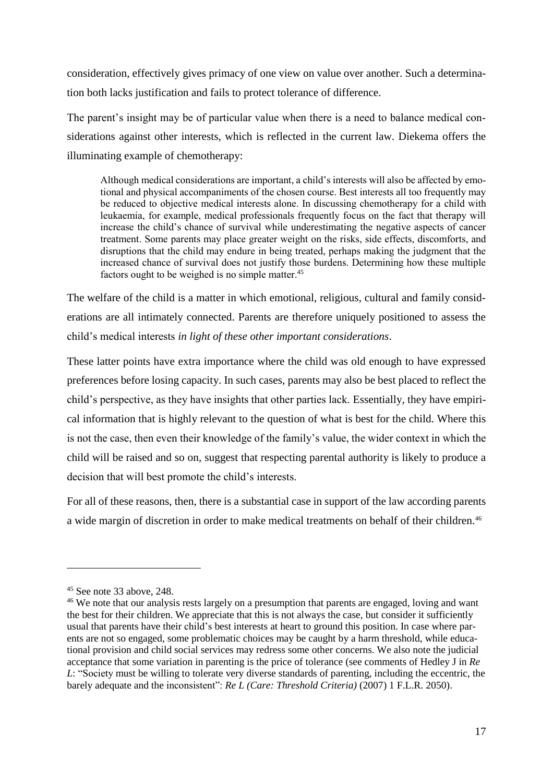consideration, effectively gives primacy of one view on value over another. Such a determination both lacks justification and fails to protect tolerance of difference.

The parent's insight may be of particular value when there is a need to balance medical considerations against other interests, which is reflected in the current law. Diekema offers the illuminating example of chemotherapy:

Although medical considerations are important, a child's interests will also be affected by emotional and physical accompaniments of the chosen course. Best interests all too frequently may be reduced to objective medical interests alone. In discussing chemotherapy for a child with leukaemia, for example, medical professionals frequently focus on the fact that therapy will increase the child's chance of survival while underestimating the negative aspects of cancer treatment. Some parents may place greater weight on the risks, side effects, discomforts, and disruptions that the child may endure in being treated, perhaps making the judgment that the increased chance of survival does not justify those burdens. Determining how these multiple factors ought to be weighed is no simple matter.<sup>45</sup>

The welfare of the child is a matter in which emotional, religious, cultural and family considerations are all intimately connected. Parents are therefore uniquely positioned to assess the child's medical interests *in light of these other important considerations*.

These latter points have extra importance where the child was old enough to have expressed preferences before losing capacity. In such cases, parents may also be best placed to reflect the child's perspective, as they have insights that other parties lack. Essentially, they have empirical information that is highly relevant to the question of what is best for the child. Where this is not the case, then even their knowledge of the family's value, the wider context in which the child will be raised and so on, suggest that respecting parental authority is likely to produce a decision that will best promote the child's interests.

For all of these reasons, then, there is a substantial case in support of the law according parents a wide margin of discretion in order to make medical treatments on behalf of their children.<sup>46</sup>

 $45$  See note [33](#page-13-1) above, 248.

<sup>&</sup>lt;sup>46</sup> We note that our analysis rests largely on a presumption that parents are engaged, loving and want the best for their children. We appreciate that this is not always the case, but consider it sufficiently usual that parents have their child's best interests at heart to ground this position. In case where parents are not so engaged, some problematic choices may be caught by a harm threshold, while educational provision and child social services may redress some other concerns. We also note the judicial acceptance that some variation in parenting is the price of tolerance (see comments of Hedley J in *Re L*: "Society must be willing to tolerate very diverse standards of parenting, including the eccentric, the barely adequate and the inconsistent": *Re L (Care: Threshold Criteria)* (2007) 1 F.L.R. 2050).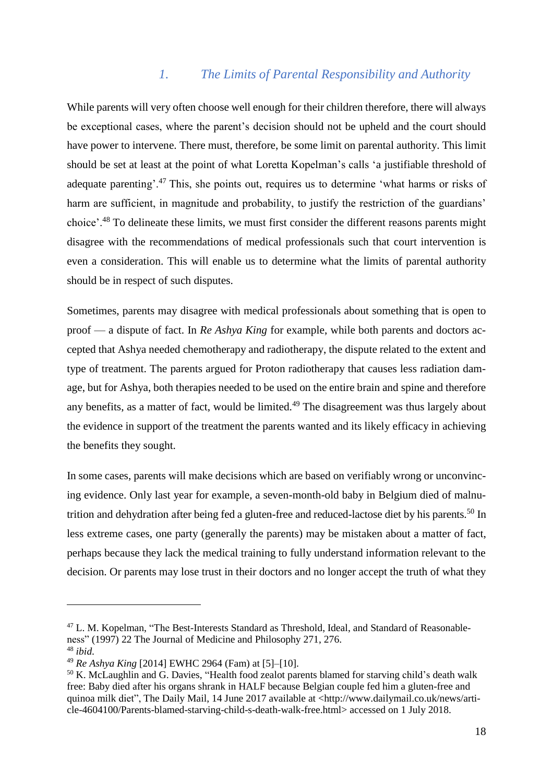#### *1. The Limits of Parental Responsibility and Authority*

While parents will very often choose well enough for their children therefore, there will always be exceptional cases, where the parent's decision should not be upheld and the court should have power to intervene. There must, therefore, be some limit on parental authority. This limit should be set at least at the point of what Loretta Kopelman's calls 'a justifiable threshold of adequate parenting'.<sup>47</sup> This, she points out, requires us to determine 'what harms or risks of harm are sufficient, in magnitude and probability, to justify the restriction of the guardians' choice'.<sup>48</sup> To delineate these limits, we must first consider the different reasons parents might disagree with the recommendations of medical professionals such that court intervention is even a consideration. This will enable us to determine what the limits of parental authority should be in respect of such disputes.

Sometimes, parents may disagree with medical professionals about something that is open to proof — a dispute of fact. In *Re Ashya King* for example, while both parents and doctors accepted that Ashya needed chemotherapy and radiotherapy, the dispute related to the extent and type of treatment. The parents argued for Proton radiotherapy that causes less radiation damage, but for Ashya, both therapies needed to be used on the entire brain and spine and therefore any benefits, as a matter of fact, would be limited.<sup>49</sup> The disagreement was thus largely about the evidence in support of the treatment the parents wanted and its likely efficacy in achieving the benefits they sought.

In some cases, parents will make decisions which are based on verifiably wrong or unconvincing evidence. Only last year for example, a seven-month-old baby in Belgium died of malnutrition and dehydration after being fed a gluten-free and reduced-lactose diet by his parents.<sup>50</sup> In less extreme cases, one party (generally the parents) may be mistaken about a matter of fact, perhaps because they lack the medical training to fully understand information relevant to the decision. Or parents may lose trust in their doctors and no longer accept the truth of what they

<sup>&</sup>lt;sup>47</sup> L. M. Kopelman, "The Best-Interests Standard as Threshold, Ideal, and Standard of Reasonableness" (1997) 22 The Journal of Medicine and Philosophy 271, 276. <sup>48</sup> *ibid*.

<sup>49</sup> *Re Ashya King* [2014] EWHC 2964 (Fam) at [5]–[10].

<sup>&</sup>lt;sup>50</sup> K. McLaughlin and G. Davies, "Health food zealot parents blamed for starving child's death walk free: Baby died after his organs shrank in HALF because Belgian couple fed him a gluten-free and quinoa milk diet", The Daily Mail, 14 June 2017 available at [<http://www.dailymail.co.uk/news/arti](http://www.dailymail.co.uk/news/article-4604100/Parents-blamed-starving-child-s-death-walk-free.html)[cle-4604100/Parents-blamed-starving-child-s-death-walk-free.html>](http://www.dailymail.co.uk/news/article-4604100/Parents-blamed-starving-child-s-death-walk-free.html) accessed on 1 July 2018.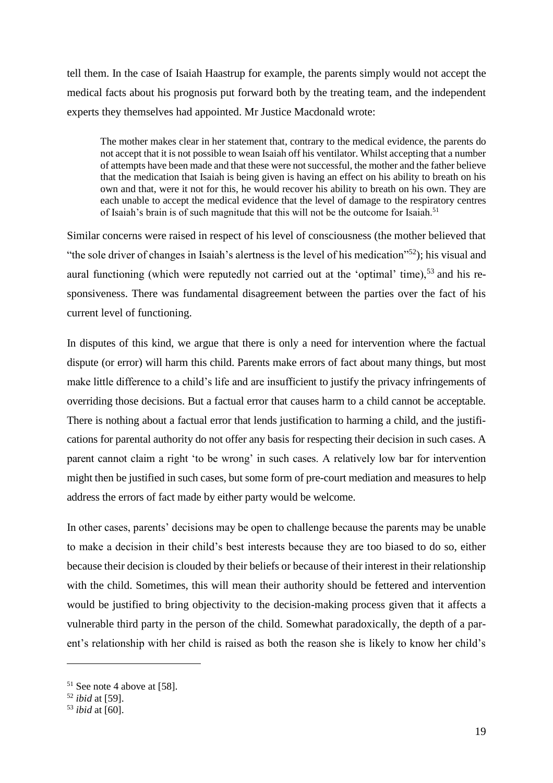tell them. In the case of Isaiah Haastrup for example, the parents simply would not accept the medical facts about his prognosis put forward both by the treating team, and the independent experts they themselves had appointed. Mr Justice Macdonald wrote:

The mother makes clear in her statement that, contrary to the medical evidence, the parents do not accept that it is not possible to wean Isaiah off his ventilator. Whilst accepting that a number of attempts have been made and that these were not successful, the mother and the father believe that the medication that Isaiah is being given is having an effect on his ability to breath on his own and that, were it not for this, he would recover his ability to breath on his own. They are each unable to accept the medical evidence that the level of damage to the respiratory centres of Isaiah's brain is of such magnitude that this will not be the outcome for Isaiah.<sup>51</sup>

Similar concerns were raised in respect of his level of consciousness (the mother believed that "the sole driver of changes in Isaiah's alertness is the level of his medication"<sup>52</sup>); his visual and aural functioning (which were reputedly not carried out at the 'optimal' time),<sup>53</sup> and his responsiveness. There was fundamental disagreement between the parties over the fact of his current level of functioning.

In disputes of this kind, we argue that there is only a need for intervention where the factual dispute (or error) will harm this child. Parents make errors of fact about many things, but most make little difference to a child's life and are insufficient to justify the privacy infringements of overriding those decisions. But a factual error that causes harm to a child cannot be acceptable. There is nothing about a factual error that lends justification to harming a child, and the justifications for parental authority do not offer any basis for respecting their decision in such cases. A parent cannot claim a right 'to be wrong' in such cases. A relatively low bar for intervention might then be justified in such cases, but some form of pre-court mediation and measures to help address the errors of fact made by either party would be welcome.

In other cases, parents' decisions may be open to challenge because the parents may be unable to make a decision in their child's best interests because they are too biased to do so, either because their decision is clouded by their beliefs or because of their interest in their relationship with the child. Sometimes, this will mean their authority should be fettered and intervention would be justified to bring objectivity to the decision-making process given that it affects a vulnerable third party in the person of the child. Somewhat paradoxically, the depth of a parent's relationship with her child is raised as both the reason she is likely to know her child's

<sup>51</sup> See note [4](#page-3-0) above at [58].

<sup>52</sup> *ibid* at [59].

<sup>53</sup> *ibid* at [60].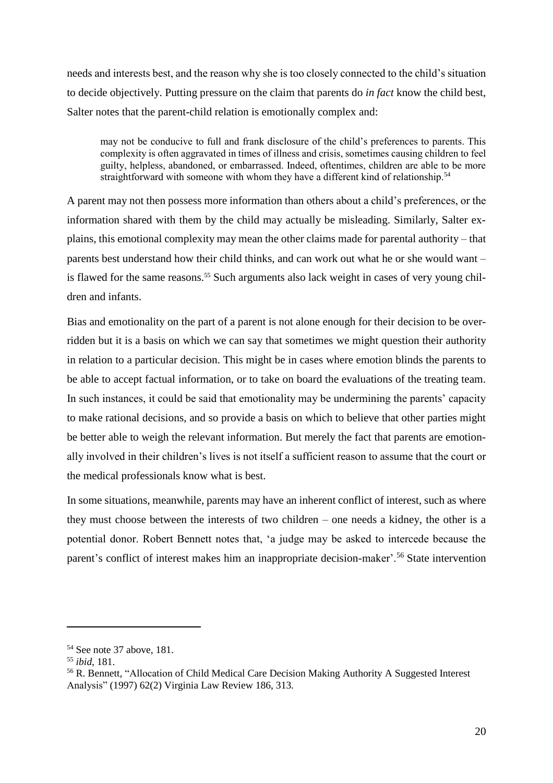needs and interests best, and the reason why she is too closely connected to the child's situation to decide objectively. Putting pressure on the claim that parents do *in fact* know the child best, Salter notes that the parent-child relation is emotionally complex and:

may not be conducive to full and frank disclosure of the child's preferences to parents. This complexity is often aggravated in times of illness and crisis, sometimes causing children to feel guilty, helpless, abandoned, or embarrassed. Indeed, oftentimes, children are able to be more straightforward with someone with whom they have a different kind of relationship.<sup>54</sup>

A parent may not then possess more information than others about a child's preferences, or the information shared with them by the child may actually be misleading. Similarly, Salter explains, this emotional complexity may mean the other claims made for parental authority – that parents best understand how their child thinks, and can work out what he or she would want – is flawed for the same reasons.<sup>55</sup> Such arguments also lack weight in cases of very young children and infants.

Bias and emotionality on the part of a parent is not alone enough for their decision to be overridden but it is a basis on which we can say that sometimes we might question their authority in relation to a particular decision. This might be in cases where emotion blinds the parents to be able to accept factual information, or to take on board the evaluations of the treating team. In such instances, it could be said that emotionality may be undermining the parents' capacity to make rational decisions, and so provide a basis on which to believe that other parties might be better able to weigh the relevant information. But merely the fact that parents are emotionally involved in their children's lives is not itself a sufficient reason to assume that the court or the medical professionals know what is best.

In some situations, meanwhile, parents may have an inherent conflict of interest, such as where they must choose between the interests of two children – one needs a kidney, the other is a potential donor. Robert Bennett notes that, 'a judge may be asked to intercede because the parent's conflict of interest makes him an inappropriate decision-maker'.<sup>56</sup> State intervention

<sup>54</sup> See note [37](#page-14-1) above, 181.

<sup>55</sup> *ibid*, 181.

<sup>56</sup> R. Bennett, "Allocation of Child Medical Care Decision Making Authority A Suggested Interest Analysis" (1997) 62(2) Virginia Law Review 186, 313.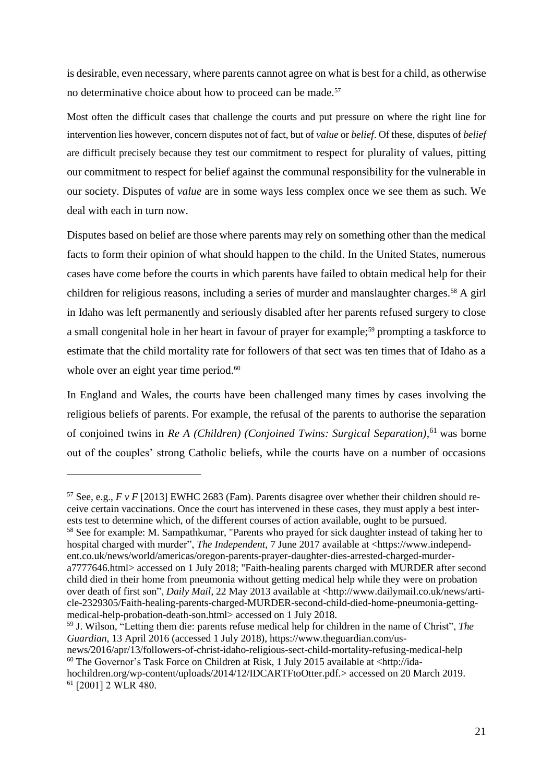is desirable, even necessary, where parents cannot agree on what is best for a child, as otherwise no determinative choice about how to proceed can be made.<sup>57</sup>

Most often the difficult cases that challenge the courts and put pressure on where the right line for intervention lies however, concern disputes not of fact, but of *value* or *belief*. Of these, disputes of *belief* are difficult precisely because they test our commitment to respect for plurality of values, pitting our commitment to respect for belief against the communal responsibility for the vulnerable in our society. Disputes of *value* are in some ways less complex once we see them as such. We deal with each in turn now.

Disputes based on belief are those where parents may rely on something other than the medical facts to form their opinion of what should happen to the child. In the United States, numerous cases have come before the courts in which parents have failed to obtain medical help for their children for religious reasons, including a series of murder and manslaughter charges.<sup>58</sup> A girl in Idaho was left permanently and seriously disabled after her parents refused surgery to close a small congenital hole in her heart in favour of prayer for example;<sup>59</sup> prompting a taskforce to estimate that the child mortality rate for followers of that sect was ten times that of Idaho as a whole over an eight year time period.<sup>60</sup>

In England and Wales, the courts have been challenged many times by cases involving the religious beliefs of parents. For example, the refusal of the parents to authorise the separation of conjoined twins in *Re A (Children) (Conjoined Twins: Surgical Separation)*, <sup>61</sup> was borne out of the couples' strong Catholic beliefs, while the courts have on a number of occasions

 $\overline{a}$ 

<sup>59</sup> J. Wilson, "Letting them die: parents refuse medical help for children in the name of Christ", *The Guardian*, 13 April 2016 (accessed 1 July 2018), [https://www.theguardian.com/us](https://www.theguardian.com/us-news/2016/apr/13/followers-of-christ-idaho-religious-sect-child-mortality-refusing-medical-help)[news/2016/apr/13/followers-of-christ-idaho-religious-sect-child-mortality-refusing-medical-help](https://www.theguardian.com/us-news/2016/apr/13/followers-of-christ-idaho-religious-sect-child-mortality-refusing-medical-help)

 $60$  The Governor's Task Force on Children at Risk, 1 July 2015 available at [<http://ida-](http://idahochildren.org/wp-content/uploads/2014/12/IDCARTFtoOtter.pdf.)

<sup>&</sup>lt;sup>57</sup> See, e.g.,  $F$  *v*  $F$  [2013] EWHC 2683 (Fam). Parents disagree over whether their children should receive certain vaccinations. Once the court has intervened in these cases, they must apply a best interests test to determine which, of the different courses of action available, ought to be pursued.

<sup>&</sup>lt;sup>58</sup> See for example: M. Sampathkumar, "Parents who prayed for sick daughter instead of taking her to hospital charged with murder", *The Independent*, 7 June 2017 available at [<https://www.independ](https://www.independent.co.uk/news/world/americas/oregon-parents-prayer-daughter-dies-arrested-charged-murder-a7777646.html)[ent.co.uk/news/world/americas/oregon-parents-prayer-daughter-dies-arrested-charged-murder](https://www.independent.co.uk/news/world/americas/oregon-parents-prayer-daughter-dies-arrested-charged-murder-a7777646.html)[a7777646.html>](https://www.independent.co.uk/news/world/americas/oregon-parents-prayer-daughter-dies-arrested-charged-murder-a7777646.html) accessed on 1 July 2018; "Faith-healing parents charged with MURDER after second child died in their home from pneumonia without getting medical help while they were on probation over death of first son", *Daily Mail*, 22 May 2013 available at [<http://www.dailymail.co.uk/news/arti](http://www.dailymail.co.uk/news/article-2329305/Faith-healing-parents-charged-MURDER-second-child-died-home-pneumonia-getting-medical-help-probation-death-son.html)[cle-2329305/Faith-healing-parents-charged-MURDER-second-child-died-home-pneumonia-getting](http://www.dailymail.co.uk/news/article-2329305/Faith-healing-parents-charged-MURDER-second-child-died-home-pneumonia-getting-medical-help-probation-death-son.html)[medical-help-probation-death-son.html>](http://www.dailymail.co.uk/news/article-2329305/Faith-healing-parents-charged-MURDER-second-child-died-home-pneumonia-getting-medical-help-probation-death-son.html) accessed on 1 July 2018.

[hochildren.org/wp-content/uploads/2014/12/IDCARTFtoOtter.pdf.>](http://idahochildren.org/wp-content/uploads/2014/12/IDCARTFtoOtter.pdf.)accessed on 20 March 2019. <sup>61</sup> [2001] 2 WLR 480.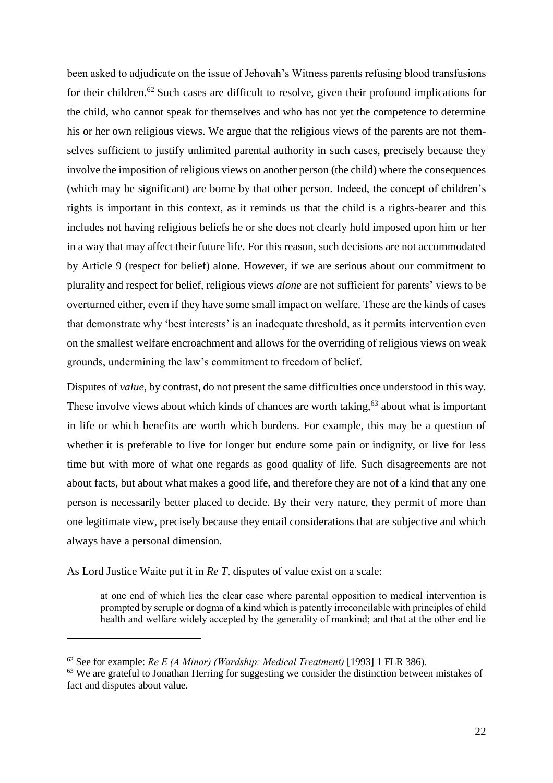been asked to adjudicate on the issue of Jehovah's Witness parents refusing blood transfusions for their children.<sup>62</sup> Such cases are difficult to resolve, given their profound implications for the child, who cannot speak for themselves and who has not yet the competence to determine his or her own religious views. We argue that the religious views of the parents are not themselves sufficient to justify unlimited parental authority in such cases, precisely because they involve the imposition of religious views on another person (the child) where the consequences (which may be significant) are borne by that other person. Indeed, the concept of children's rights is important in this context, as it reminds us that the child is a rights-bearer and this includes not having religious beliefs he or she does not clearly hold imposed upon him or her in a way that may affect their future life. For this reason, such decisions are not accommodated by Article 9 (respect for belief) alone. However, if we are serious about our commitment to plurality and respect for belief, religious views *alone* are not sufficient for parents' views to be overturned either, even if they have some small impact on welfare. These are the kinds of cases that demonstrate why 'best interests' is an inadequate threshold, as it permits intervention even on the smallest welfare encroachment and allows for the overriding of religious views on weak grounds, undermining the law's commitment to freedom of belief.

Disputes of *value*, by contrast, do not present the same difficulties once understood in this way. These involve views about which kinds of chances are worth taking,  $63$  about what is important in life or which benefits are worth which burdens. For example, this may be a question of whether it is preferable to live for longer but endure some pain or indignity, or live for less time but with more of what one regards as good quality of life. Such disagreements are not about facts, but about what makes a good life, and therefore they are not of a kind that any one person is necessarily better placed to decide. By their very nature, they permit of more than one legitimate view, precisely because they entail considerations that are subjective and which always have a personal dimension.

As Lord Justice Waite put it in *Re T*, disputes of value exist on a scale:

 $\overline{a}$ 

at one end of which lies the clear case where parental opposition to medical intervention is prompted by scruple or dogma of a kind which is patently irreconcilable with principles of child health and welfare widely accepted by the generality of mankind; and that at the other end lie

<sup>62</sup> See for example: *Re E (A Minor) (Wardship: Medical Treatment)* [1993] 1 FLR 386).

<sup>&</sup>lt;sup>63</sup> We are grateful to Jonathan Herring for suggesting we consider the distinction between mistakes of fact and disputes about value.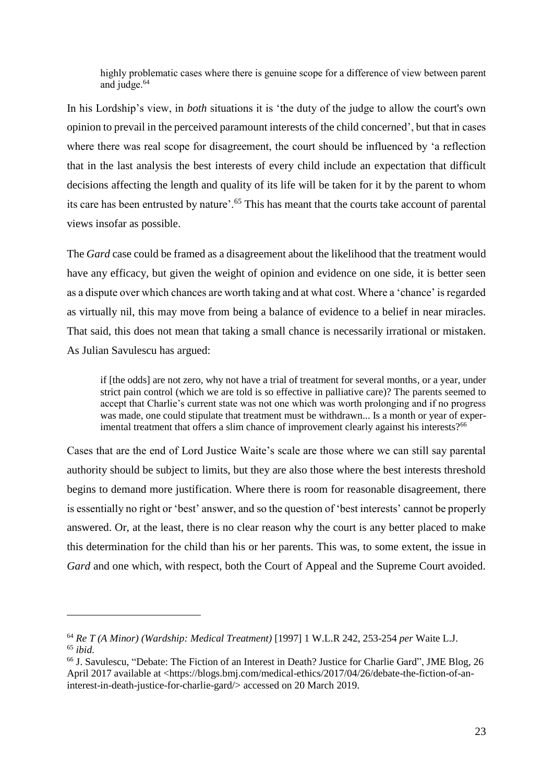highly problematic cases where there is genuine scope for a difference of view between parent and judge.<sup>64</sup>

In his Lordship's view, in *both* situations it is 'the duty of the judge to allow the court's own opinion to prevail in the perceived paramount interests of the child concerned', but that in cases where there was real scope for disagreement, the court should be influenced by 'a reflection that in the last analysis the best interests of every child include an expectation that difficult decisions affecting the length and quality of its life will be taken for it by the parent to whom its care has been entrusted by nature'.<sup>65</sup> This has meant that the courts take account of parental views insofar as possible.

The *Gard* case could be framed as a disagreement about the likelihood that the treatment would have any efficacy, but given the weight of opinion and evidence on one side, it is better seen as a dispute over which chances are worth taking and at what cost. Where a 'chance' is regarded as virtually nil, this may move from being a balance of evidence to a belief in near miracles. That said, this does not mean that taking a small chance is necessarily irrational or mistaken. As Julian Savulescu has argued:

if [the odds] are not zero, why not have a trial of treatment for several months, or a year, under strict pain control (which we are told is so effective in palliative care)? The parents seemed to accept that Charlie's current state was not one which was worth prolonging and if no progress was made, one could stipulate that treatment must be withdrawn... Is a month or year of experimental treatment that offers a slim chance of improvement clearly against his interests?<sup>66</sup>

Cases that are the end of Lord Justice Waite's scale are those where we can still say parental authority should be subject to limits, but they are also those where the best interests threshold begins to demand more justification. Where there is room for reasonable disagreement, there is essentially no right or 'best' answer, and so the question of 'best interests' cannot be properly answered. Or, at the least, there is no clear reason why the court is any better placed to make this determination for the child than his or her parents. This was, to some extent, the issue in *Gard* and one which, with respect, both the Court of Appeal and the Supreme Court avoided.

<sup>64</sup> *Re T (A Minor) (Wardship: Medical Treatment)* [1997] 1 W.L.R 242, 253-254 *per* Waite L.J. <sup>65</sup> *ibid*.

<sup>66</sup> J. Savulescu, "Debate: The Fiction of an Interest in Death? Justice for Charlie Gard", JME Blog, 26 April 2017 available at [<https://blogs.bmj.com/medical-ethics/2017/04/26/debate-the-fiction-of-an](https://blogs.bmj.com/medical-ethics/2017/04/26/debate-the-fiction-of-an-interest-in-death-justice-for-charlie-gard/)[interest-in-death-justice-for-charlie-gard/>](https://blogs.bmj.com/medical-ethics/2017/04/26/debate-the-fiction-of-an-interest-in-death-justice-for-charlie-gard/) accessed on 20 March 2019.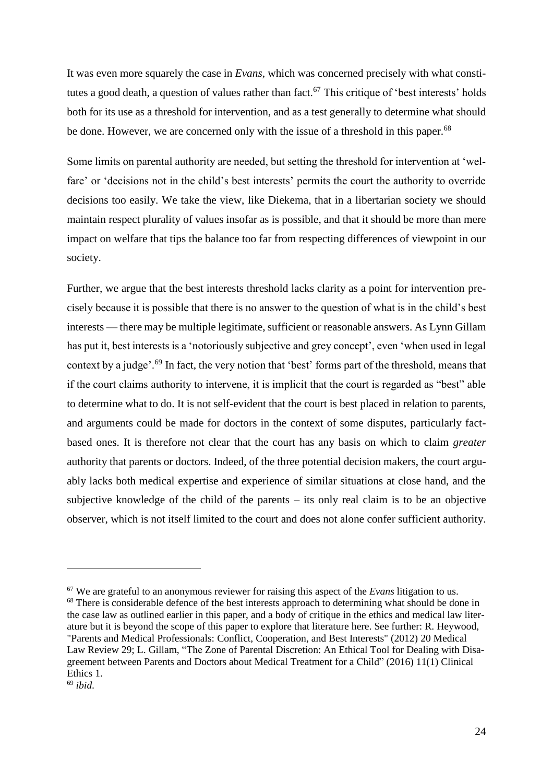It was even more squarely the case in *Evans*, which was concerned precisely with what constitutes a good death, a question of values rather than fact.<sup>67</sup> This critique of 'best interests' holds both for its use as a threshold for intervention, and as a test generally to determine what should be done. However, we are concerned only with the issue of a threshold in this paper.<sup>68</sup>

Some limits on parental authority are needed, but setting the threshold for intervention at 'welfare' or 'decisions not in the child's best interests' permits the court the authority to override decisions too easily. We take the view, like Diekema, that in a libertarian society we should maintain respect plurality of values insofar as is possible, and that it should be more than mere impact on welfare that tips the balance too far from respecting differences of viewpoint in our society.

Further, we argue that the best interests threshold lacks clarity as a point for intervention precisely because it is possible that there is no answer to the question of what is in the child's best interests — there may be multiple legitimate, sufficient or reasonable answers. As Lynn Gillam has put it, best interests is a 'notoriously subjective and grey concept', even 'when used in legal context by a judge'.<sup>69</sup> In fact, the very notion that 'best' forms part of the threshold, means that if the court claims authority to intervene, it is implicit that the court is regarded as "best" able to determine what to do. It is not self-evident that the court is best placed in relation to parents, and arguments could be made for doctors in the context of some disputes, particularly factbased ones. It is therefore not clear that the court has any basis on which to claim *greater* authority that parents or doctors. Indeed, of the three potential decision makers, the court arguably lacks both medical expertise and experience of similar situations at close hand, and the subjective knowledge of the child of the parents – its only real claim is to be an objective observer, which is not itself limited to the court and does not alone confer sufficient authority.

<sup>68</sup> There is considerable defence of the best interests approach to determining what should be done in the case law as outlined earlier in this paper, and a body of critique in the ethics and medical law literature but it is beyond the scope of this paper to explore that literature here. See further: R. Heywood, "Parents and Medical Professionals: Conflict, Cooperation, and Best Interests" (2012) 20 Medical Law Review 29; L. Gillam, "The Zone of Parental Discretion: An Ethical Tool for Dealing with Disagreement between Parents and Doctors about Medical Treatment for a Child" (2016) 11(1) Clinical Ethics 1.

<sup>67</sup> We are grateful to an anonymous reviewer for raising this aspect of the *Evans* litigation to us.

<sup>69</sup> *ibid*.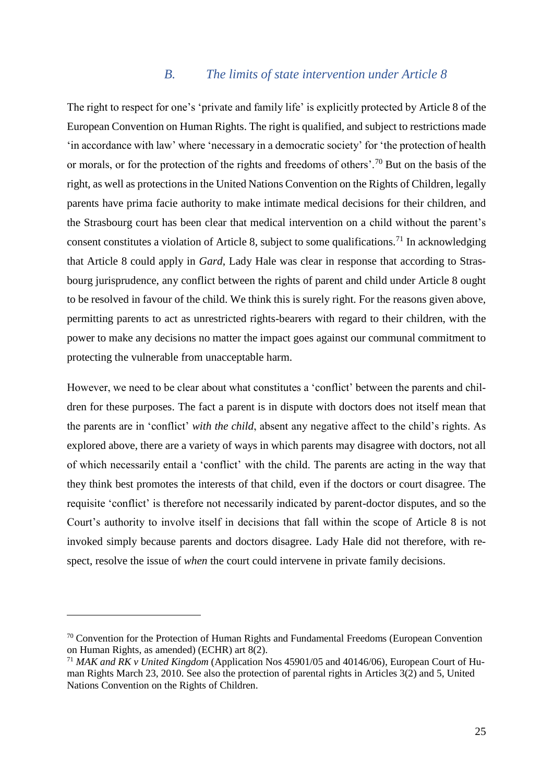#### *B. The limits of state intervention under Article 8*

The right to respect for one's 'private and family life' is explicitly protected by Article 8 of the European Convention on Human Rights. The right is qualified, and subject to restrictions made 'in accordance with law' where 'necessary in a democratic society' for 'the protection of health or morals, or for the protection of the rights and freedoms of others'.<sup>70</sup> But on the basis of the right, as well as protections in the United Nations Convention on the Rights of Children, legally parents have prima facie authority to make intimate medical decisions for their children, and the Strasbourg court has been clear that medical intervention on a child without the parent's consent constitutes a violation of Article 8, subject to some qualifications.<sup>71</sup> In acknowledging that Article 8 could apply in *Gard*, Lady Hale was clear in response that according to Strasbourg jurisprudence, any conflict between the rights of parent and child under Article 8 ought to be resolved in favour of the child. We think this is surely right. For the reasons given above, permitting parents to act as unrestricted rights-bearers with regard to their children, with the power to make any decisions no matter the impact goes against our communal commitment to protecting the vulnerable from unacceptable harm.

However, we need to be clear about what constitutes a 'conflict' between the parents and children for these purposes. The fact a parent is in dispute with doctors does not itself mean that the parents are in 'conflict' *with the child*, absent any negative affect to the child's rights. As explored above, there are a variety of ways in which parents may disagree with doctors, not all of which necessarily entail a 'conflict' with the child. The parents are acting in the way that they think best promotes the interests of that child, even if the doctors or court disagree. The requisite 'conflict' is therefore not necessarily indicated by parent-doctor disputes, and so the Court's authority to involve itself in decisions that fall within the scope of Article 8 is not invoked simply because parents and doctors disagree. Lady Hale did not therefore, with respect, resolve the issue of *when* the court could intervene in private family decisions.

<sup>&</sup>lt;sup>70</sup> Convention for the Protection of Human Rights and Fundamental Freedoms (European Convention on Human Rights, as amended) (ECHR) art 8(2).

<sup>71</sup> *MAK and RK v United Kingdom* (Application Nos 45901/05 and 40146/06), European Court of Human Rights March 23, 2010. See also the protection of parental rights in Articles 3(2) and 5, United Nations Convention on the Rights of Children.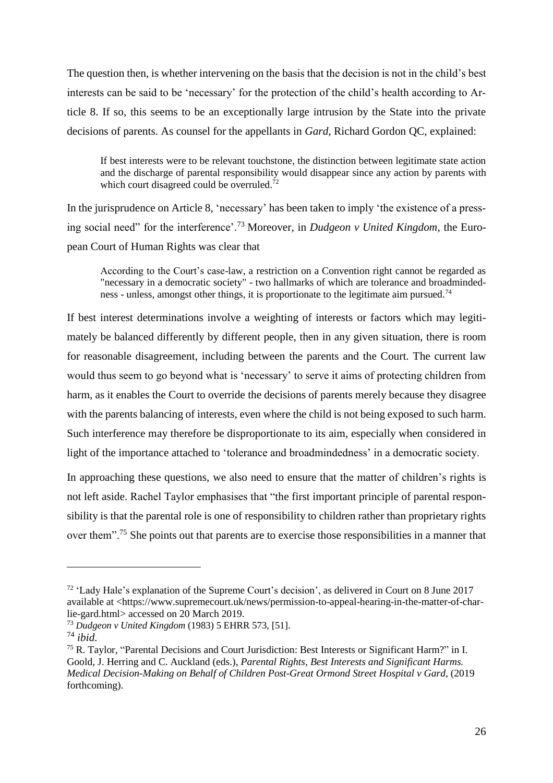The question then, is whether intervening on the basis that the decision is not in the child's best interests can be said to be 'necessary' for the protection of the child's health according to Article 8. If so, this seems to be an exceptionally large intrusion by the State into the private decisions of parents. As counsel for the appellants in *Gard*, Richard Gordon QC, explained:

If best interests were to be relevant touchstone, the distinction between legitimate state action and the discharge of parental responsibility would disappear since any action by parents with which court disagreed could be overruled.<sup>72</sup>

In the jurisprudence on Article 8, 'necessary' has been taken to imply 'the existence of a pressing social need" for the interference'.<sup>73</sup> Moreover, in *Dudgeon v United Kingdom*, the European Court of Human Rights was clear that

According to the Court's case-law, a restriction on a Convention right cannot be regarded as "necessary in a democratic society" - two hallmarks of which are tolerance and broadmindedness - unless, amongst other things, it is proportionate to the legitimate aim pursued.<sup>74</sup>

If best interest determinations involve a weighting of interests or factors which may legitimately be balanced differently by different people, then in any given situation, there is room for reasonable disagreement, including between the parents and the Court. The current law would thus seem to go beyond what is 'necessary' to serve it aims of protecting children from harm, as it enables the Court to override the decisions of parents merely because they disagree with the parents balancing of interests, even where the child is not being exposed to such harm. Such interference may therefore be disproportionate to its aim, especially when considered in light of the importance attached to 'tolerance and broadmindedness' in a democratic society.

In approaching these questions, we also need to ensure that the matter of children's rights is not left aside. Rachel Taylor emphasises that "the first important principle of parental responsibility is that the parental role is one of responsibility to children rather than proprietary rights over them".<sup>75</sup> She points out that parents are to exercise those responsibilities in a manner that

<span id="page-25-0"></span><sup>72</sup> 'Lady Hale's explanation of the Supreme Court's decision', as delivered in Court on 8 June 2017 available at [<https://www.supremecourt.uk/news/permission-to-appeal-hearing-in-the-matter-of-char](https://www.supremecourt.uk/news/permission-to-appeal-hearing-in-the-matter-of-charlie-gard.html)[lie-gard.html>](https://www.supremecourt.uk/news/permission-to-appeal-hearing-in-the-matter-of-charlie-gard.html) accessed on 20 March 2019.

<sup>73</sup> *Dudgeon v United Kingdom* (1983) 5 EHRR 573, [51].

<sup>74</sup> *ibid.*

<sup>75</sup> R. Taylor, "Parental Decisions and Court Jurisdiction: Best Interests or Significant Harm?" in I. Goold, J. Herring and C. Auckland (eds.), *Parental Rights, Best Interests and Significant Harms. Medical Decision-Making on Behalf of Children Post-Great Ormond Street Hospital v Gard*, (2019 forthcoming).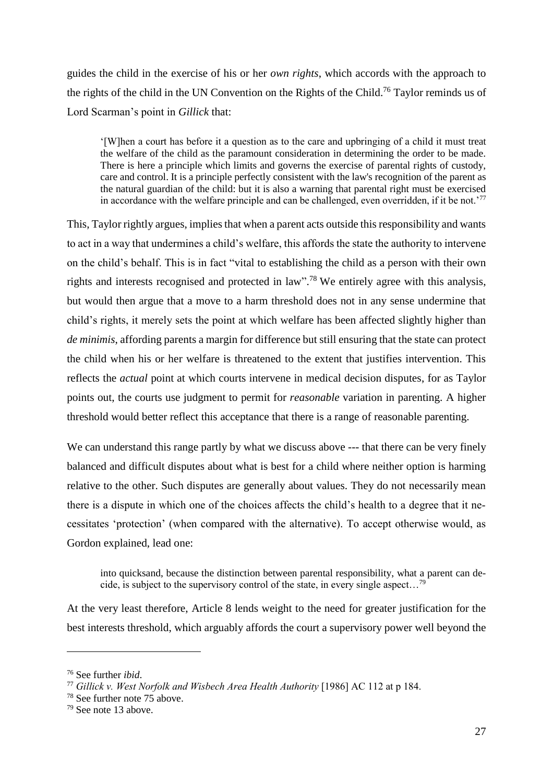guides the child in the exercise of his or her *own rights*, which accords with the approach to the rights of the child in the UN Convention on the Rights of the Child.<sup>76</sup> Taylor reminds us of Lord Scarman's point in *Gillick* that:

'[W]hen a court has before it a question as to the care and upbringing of a child it must treat the welfare of the child as the paramount consideration in determining the order to be made. There is here a principle which limits and governs the exercise of parental rights of custody, care and control. It is a principle perfectly consistent with the law's recognition of the parent as the natural guardian of the child: but it is also a warning that parental right must be exercised in accordance with the welfare principle and can be challenged, even overridden, if it be not.<sup>77</sup>

This, Taylor rightly argues, implies that when a parent acts outside this responsibility and wants to act in a way that undermines a child's welfare, this affords the state the authority to intervene on the child's behalf. This is in fact "vital to establishing the child as a person with their own rights and interests recognised and protected in law".<sup>78</sup> We entirely agree with this analysis, but would then argue that a move to a harm threshold does not in any sense undermine that child's rights, it merely sets the point at which welfare has been affected slightly higher than *de minimis*, affording parents a margin for difference but still ensuring that the state can protect the child when his or her welfare is threatened to the extent that justifies intervention. This reflects the *actual* point at which courts intervene in medical decision disputes, for as Taylor points out, the courts use judgment to permit for *reasonable* variation in parenting. A higher threshold would better reflect this acceptance that there is a range of reasonable parenting.

We can understand this range partly by what we discuss above --- that there can be very finely balanced and difficult disputes about what is best for a child where neither option is harming relative to the other. Such disputes are generally about values. They do not necessarily mean there is a dispute in which one of the choices affects the child's health to a degree that it necessitates 'protection' (when compared with the alternative). To accept otherwise would, as Gordon explained, lead one:

into quicksand, because the distinction between parental responsibility, what a parent can decide, is subject to the supervisory control of the state, in every single aspect…<sup>79</sup>

At the very least therefore, Article 8 lends weight to the need for greater justification for the best interests threshold, which arguably affords the court a supervisory power well beyond the

<sup>76</sup> See further *ibid*.

<sup>77</sup> *Gillick v. West Norfolk and Wisbech Area Health Authority* [1986] AC 112 at p 184.

<sup>78</sup> See further note [75](#page-25-0) above.

<sup>79</sup> See note [13](#page-7-0) above.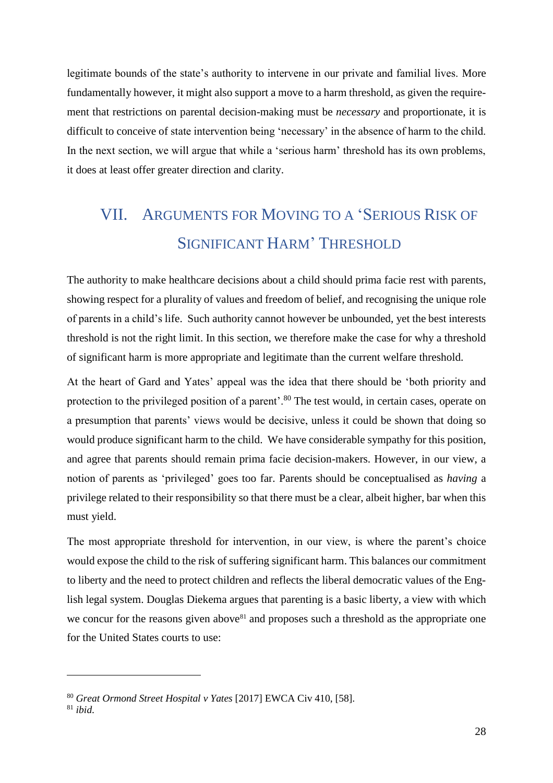legitimate bounds of the state's authority to intervene in our private and familial lives. More fundamentally however, it might also support a move to a harm threshold, as given the requirement that restrictions on parental decision-making must be *necessary* and proportionate, it is difficult to conceive of state intervention being 'necessary' in the absence of harm to the child. In the next section, we will argue that while a 'serious harm' threshold has its own problems, it does at least offer greater direction and clarity.

# VII. ARGUMENTS FOR MOVING TO A 'SERIOUS RISK OF SIGNIFICANT HARM' THRESHOLD

The authority to make healthcare decisions about a child should prima facie rest with parents, showing respect for a plurality of values and freedom of belief, and recognising the unique role of parents in a child's life. Such authority cannot however be unbounded, yet the best interests threshold is not the right limit. In this section, we therefore make the case for why a threshold of significant harm is more appropriate and legitimate than the current welfare threshold.

At the heart of Gard and Yates' appeal was the idea that there should be 'both priority and protection to the privileged position of a parent'.<sup>80</sup> The test would, in certain cases, operate on a presumption that parents' views would be decisive, unless it could be shown that doing so would produce significant harm to the child. We have considerable sympathy for this position, and agree that parents should remain prima facie decision-makers. However, in our view, a notion of parents as 'privileged' goes too far. Parents should be conceptualised as *having* a privilege related to their responsibility so that there must be a clear, albeit higher, bar when this must yield.

The most appropriate threshold for intervention, in our view, is where the parent's choice would expose the child to the risk of suffering significant harm. This balances our commitment to liberty and the need to protect children and reflects the liberal democratic values of the English legal system. Douglas Diekema argues that parenting is a basic liberty, a view with which we concur for the reasons given above<sup>81</sup> and proposes such a threshold as the appropriate one for the United States courts to use:

<sup>80</sup> *Great Ormond Street Hospital v Yates* [2017] EWCA Civ 410, [58].

<sup>81</sup> *ibid*.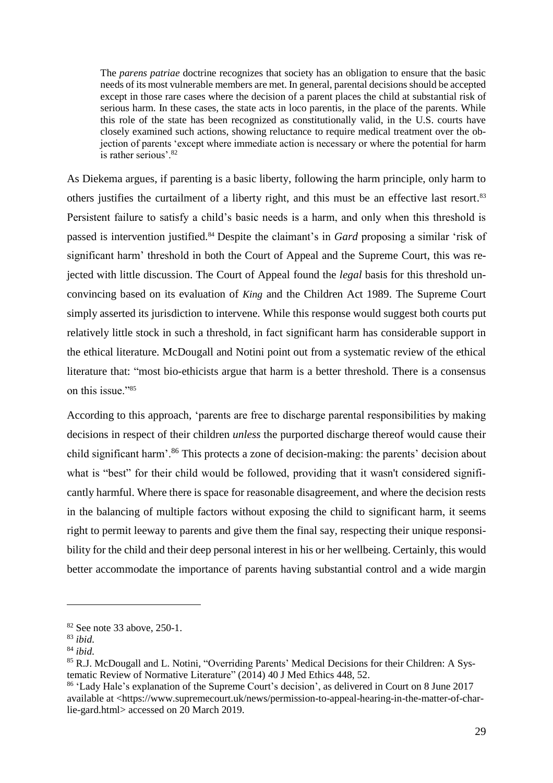The *parens patriae* doctrine recognizes that society has an obligation to ensure that the basic needs of its most vulnerable members are met. In general, parental decisions should be accepted except in those rare cases where the decision of a parent places the child at substantial risk of serious harm. In these cases, the state acts in loco parentis, in the place of the parents. While this role of the state has been recognized as constitutionally valid, in the U.S. courts have closely examined such actions, showing reluctance to require medical treatment over the objection of parents 'except where immediate action is necessary or where the potential for harm is rather serious'.<sup>82</sup>

As Diekema argues, if parenting is a basic liberty, following the harm principle, only harm to others justifies the curtailment of a liberty right, and this must be an effective last resort. 83 Persistent failure to satisfy a child's basic needs is a harm, and only when this threshold is passed is intervention justified.<sup>84</sup> Despite the claimant's in *Gard* proposing a similar 'risk of significant harm' threshold in both the Court of Appeal and the Supreme Court, this was rejected with little discussion. The Court of Appeal found the *legal* basis for this threshold unconvincing based on its evaluation of *King* and the Children Act 1989. The Supreme Court simply asserted its jurisdiction to intervene. While this response would suggest both courts put relatively little stock in such a threshold, in fact significant harm has considerable support in the ethical literature. McDougall and Notini point out from a systematic review of the ethical literature that: "most bio-ethicists argue that harm is a better threshold. There is a consensus on this issue."<sup>85</sup>

According to this approach, 'parents are free to discharge parental responsibilities by making decisions in respect of their children *unless* the purported discharge thereof would cause their child significant harm'.<sup>86</sup> This protects a zone of decision-making: the parents' decision about what is "best" for their child would be followed, providing that it wasn't considered significantly harmful. Where there is space for reasonable disagreement, and where the decision rests in the balancing of multiple factors without exposing the child to significant harm, it seems right to permit leeway to parents and give them the final say, respecting their unique responsibility for the child and their deep personal interest in his or her wellbeing. Certainly, this would better accommodate the importance of parents having substantial control and a wide margin

<sup>82</sup> See note [33](#page-13-1) above, 250-1.

<sup>83</sup> *ibid*.

<sup>84</sup> *ibid*.

<sup>&</sup>lt;sup>85</sup> R.J. McDougall and L. Notini, "Overriding Parents' Medical Decisions for their Children: A Systematic Review of Normative Literature" (2014) 40 J Med Ethics 448, 52.

<sup>86</sup> 'Lady Hale's explanation of the Supreme Court's decision', as delivered in Court on 8 June 2017 available at [<https://www.supremecourt.uk/news/permission-to-appeal-hearing-in-the-matter-of-char](https://www.supremecourt.uk/news/permission-to-appeal-hearing-in-the-matter-of-charlie-gard.html)[lie-gard.html>](https://www.supremecourt.uk/news/permission-to-appeal-hearing-in-the-matter-of-charlie-gard.html) accessed on 20 March 2019.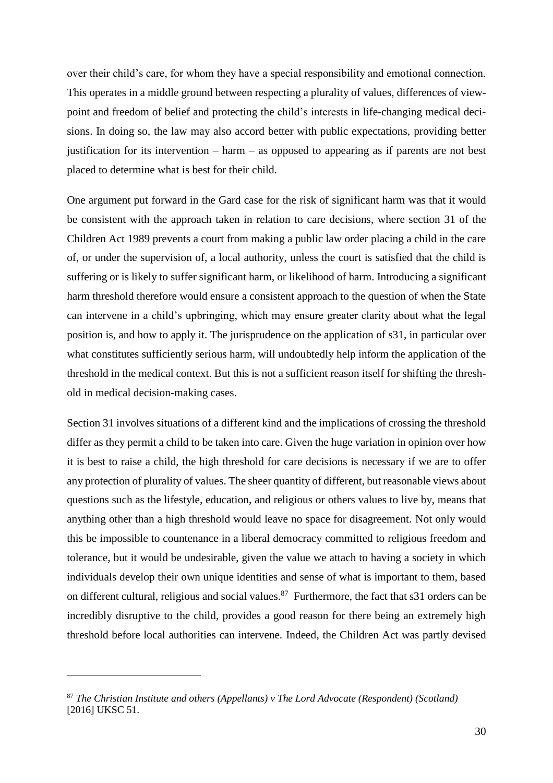over their child's care, for whom they have a special responsibility and emotional connection. This operates in a middle ground between respecting a plurality of values, differences of viewpoint and freedom of belief and protecting the child's interests in life-changing medical decisions. In doing so, the law may also accord better with public expectations, providing better justification for its intervention – harm – as opposed to appearing as if parents are not best placed to determine what is best for their child.

One argument put forward in the Gard case for the risk of significant harm was that it would be consistent with the approach taken in relation to care decisions, where section 31 of the Children Act 1989 prevents a court from making a public law order placing a child in the care of, or under the supervision of, a local authority, unless the court is satisfied that the child is suffering or is likely to suffer significant harm, or likelihood of harm. Introducing a significant harm threshold therefore would ensure a consistent approach to the question of when the State can intervene in a child's upbringing, which may ensure greater clarity about what the legal position is, and how to apply it. The jurisprudence on the application of s31, in particular over what constitutes sufficiently serious harm, will undoubtedly help inform the application of the threshold in the medical context. But this is not a sufficient reason itself for shifting the threshold in medical decision-making cases.

Section 31 involves situations of a different kind and the implications of crossing the threshold differ as they permit a child to be taken into care. Given the huge variation in opinion over how it is best to raise a child, the high threshold for care decisions is necessary if we are to offer any protection of plurality of values. The sheer quantity of different, but reasonable views about questions such as the lifestyle, education, and religious or others values to live by, means that anything other than a high threshold would leave no space for disagreement. Not only would this be impossible to countenance in a liberal democracy committed to religious freedom and tolerance, but it would be undesirable, given the value we attach to having a society in which individuals develop their own unique identities and sense of what is important to them, based on different cultural, religious and social values.<sup>87</sup> Furthermore, the fact that s31 orders can be incredibly disruptive to the child, provides a good reason for there being an extremely high threshold before local authorities can intervene. Indeed, the Children Act was partly devised

<sup>87</sup> *The Christian Institute and others (Appellants) v The Lord Advocate (Respondent) (Scotland)* [2016] UKSC 51.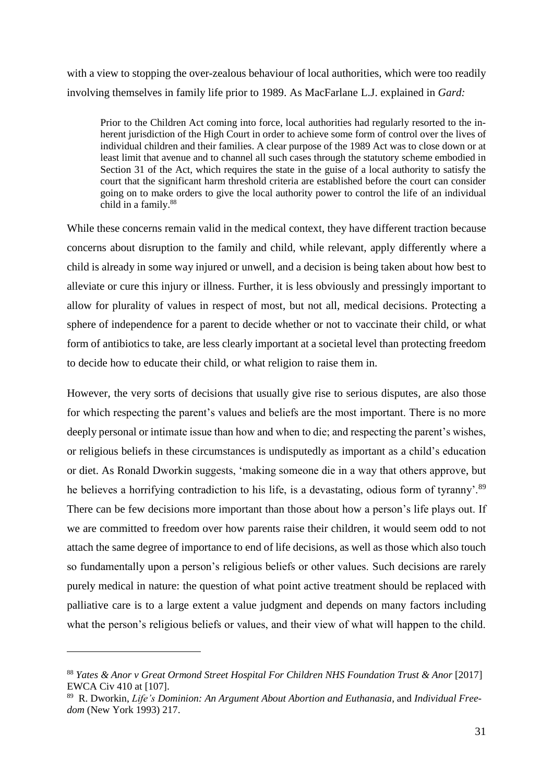with a view to stopping the over-zealous behaviour of local authorities, which were too readily involving themselves in family life prior to 1989. As MacFarlane L.J. explained in *Gard:* 

Prior to the Children Act coming into force, local authorities had regularly resorted to the inherent jurisdiction of the High Court in order to achieve some form of control over the lives of individual children and their families. A clear purpose of the 1989 Act was to close down or at least limit that avenue and to channel all such cases through the statutory scheme embodied in Section 31 of the Act, which requires the state in the guise of a local authority to satisfy the court that the significant harm threshold criteria are established before the court can consider going on to make orders to give the local authority power to control the life of an individual child in a family.<sup>88</sup>

While these concerns remain valid in the medical context, they have different traction because concerns about disruption to the family and child, while relevant, apply differently where a child is already in some way injured or unwell, and a decision is being taken about how best to alleviate or cure this injury or illness. Further, it is less obviously and pressingly important to allow for plurality of values in respect of most, but not all, medical decisions. Protecting a sphere of independence for a parent to decide whether or not to vaccinate their child, or what form of antibiotics to take, are less clearly important at a societal level than protecting freedom to decide how to educate their child, or what religion to raise them in.

However, the very sorts of decisions that usually give rise to serious disputes, are also those for which respecting the parent's values and beliefs are the most important. There is no more deeply personal or intimate issue than how and when to die; and respecting the parent's wishes, or religious beliefs in these circumstances is undisputedly as important as a child's education or diet. As Ronald Dworkin suggests, 'making someone die in a way that others approve, but he believes a horrifying contradiction to his life, is a devastating, odious form of tyranny'.<sup>89</sup> There can be few decisions more important than those about how a person's life plays out. If we are committed to freedom over how parents raise their children, it would seem odd to not attach the same degree of importance to end of life decisions, as well as those which also touch so fundamentally upon a person's religious beliefs or other values. Such decisions are rarely purely medical in nature: the question of what point active treatment should be replaced with palliative care is to a large extent a value judgment and depends on many factors including what the person's religious beliefs or values, and their view of what will happen to the child.

<sup>88</sup> *Yates & Anor v Great Ormond Street Hospital For Children NHS Foundation Trust & Anor* [2017] EWCA Civ 410 at [107].

<sup>89</sup> R. Dworkin, *Life's Dominion: An Argument About Abortion and Euthanasia*, and *Individual Freedom* (New York 1993) 217.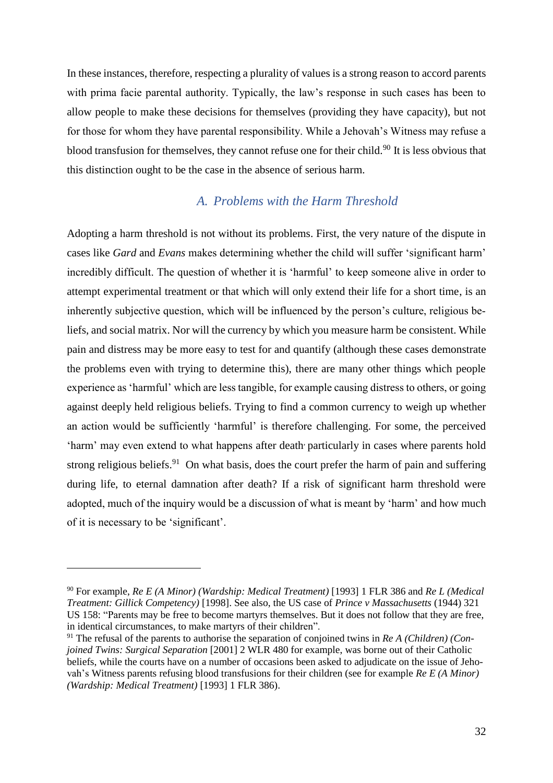In these instances, therefore, respecting a plurality of values is a strong reason to accord parents with prima facie parental authority. Typically, the law's response in such cases has been to allow people to make these decisions for themselves (providing they have capacity), but not for those for whom they have parental responsibility. While a Jehovah's Witness may refuse a blood transfusion for themselves, they cannot refuse one for their child.<sup>90</sup> It is less obvious that this distinction ought to be the case in the absence of serious harm.

#### *A. Problems with the Harm Threshold*

Adopting a harm threshold is not without its problems. First, the very nature of the dispute in cases like *Gard* and *Evans* makes determining whether the child will suffer 'significant harm' incredibly difficult. The question of whether it is 'harmful' to keep someone alive in order to attempt experimental treatment or that which will only extend their life for a short time, is an inherently subjective question, which will be influenced by the person's culture, religious beliefs, and social matrix. Nor will the currency by which you measure harm be consistent. While pain and distress may be more easy to test for and quantify (although these cases demonstrate the problems even with trying to determine this), there are many other things which people experience as 'harmful' which are less tangible, for example causing distress to others, or going against deeply held religious beliefs. Trying to find a common currency to weigh up whether an action would be sufficiently 'harmful' is therefore challenging. For some, the perceived 'harm' may even extend to what happens after death, particularly in cases where parents hold strong religious beliefs.<sup>91</sup> On what basis, does the court prefer the harm of pain and suffering during life, to eternal damnation after death? If a risk of significant harm threshold were adopted, much of the inquiry would be a discussion of what is meant by 'harm' and how much of it is necessary to be 'significant'.

<sup>90</sup> For example, *Re E (A Minor) (Wardship: Medical Treatment)* [1993] 1 FLR 386 and *Re L (Medical Treatment: Gillick Competency)* [1998]. See also, the US case of *Prince v Massachusetts* (1944) 321 US 158: "Parents may be free to become martyrs themselves. But it does not follow that they are free, in identical circumstances, to make martyrs of their children".

<sup>91</sup> The refusal of the parents to authorise the separation of conjoined twins in *Re A (Children) (Conjoined Twins: Surgical Separation* [2001] 2 WLR 480 for example, was borne out of their Catholic beliefs, while the courts have on a number of occasions been asked to adjudicate on the issue of Jehovah's Witness parents refusing blood transfusions for their children (see for example *Re E (A Minor) (Wardship: Medical Treatment)* [1993] 1 FLR 386).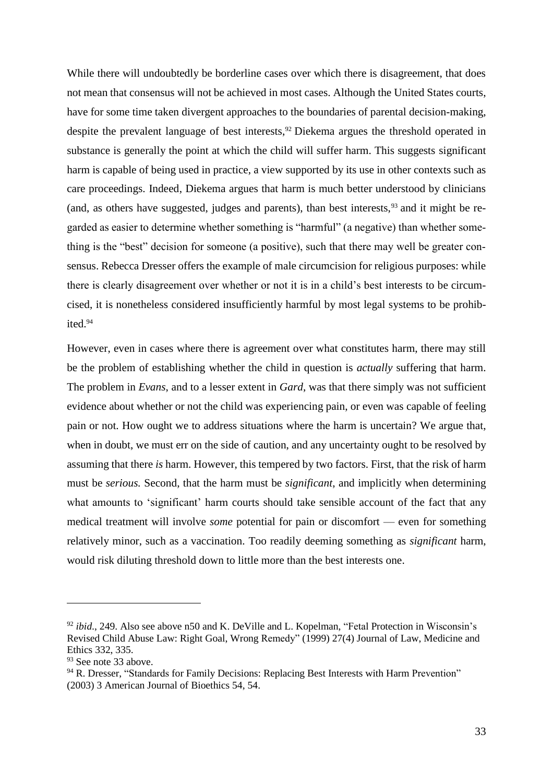While there will undoubtedly be borderline cases over which there is disagreement, that does not mean that consensus will not be achieved in most cases. Although the United States courts, have for some time taken divergent approaches to the boundaries of parental decision-making, despite the prevalent language of best interests,<sup>92</sup> Diekema argues the threshold operated in substance is generally the point at which the child will suffer harm. This suggests significant harm is capable of being used in practice, a view supported by its use in other contexts such as care proceedings. Indeed, Diekema argues that harm is much better understood by clinicians (and, as others have suggested, judges and parents), than best interests,  $93$  and it might be regarded as easier to determine whether something is "harmful" (a negative) than whether something is the "best" decision for someone (a positive), such that there may well be greater consensus. Rebecca Dresser offers the example of male circumcision for religious purposes: while there is clearly disagreement over whether or not it is in a child's best interests to be circumcised, it is nonetheless considered insufficiently harmful by most legal systems to be prohibited.<sup>94</sup>

However, even in cases where there is agreement over what constitutes harm, there may still be the problem of establishing whether the child in question is *actually* suffering that harm. The problem in *Evans*, and to a lesser extent in *Gard*, was that there simply was not sufficient evidence about whether or not the child was experiencing pain, or even was capable of feeling pain or not. How ought we to address situations where the harm is uncertain? We argue that, when in doubt, we must err on the side of caution, and any uncertainty ought to be resolved by assuming that there *is* harm. However, this tempered by two factors. First, that the risk of harm must be *serious.* Second, that the harm must be *significant*, and implicitly when determining what amounts to 'significant' harm courts should take sensible account of the fact that any medical treatment will involve *some* potential for pain or discomfort — even for something relatively minor, such as a vaccination. Too readily deeming something as *significant* harm, would risk diluting threshold down to little more than the best interests one.

<sup>&</sup>lt;sup>92</sup> *ibid.*, 249. Also see above n50 and K. DeVille and L. Kopelman, "Fetal Protection in Wisconsin's Revised Child Abuse Law: Right Goal, Wrong Remedy" (1999) 27(4) Journal of Law, Medicine and Ethics 332, 335.

<sup>&</sup>lt;sup>93</sup> See note [33](#page-13-1) above.

<sup>&</sup>lt;sup>94</sup> R. Dresser, "Standards for Family Decisions: Replacing Best Interests with Harm Prevention" (2003) 3 American Journal of Bioethics 54, 54.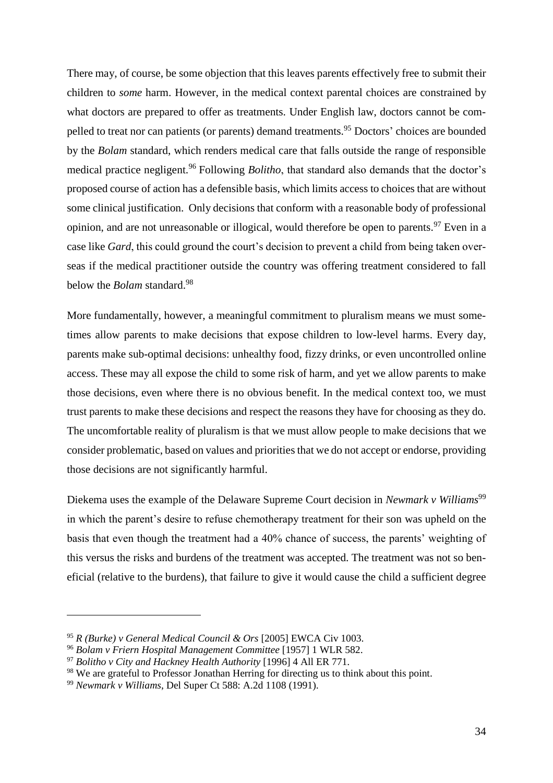There may, of course, be some objection that this leaves parents effectively free to submit their children to *some* harm. However, in the medical context parental choices are constrained by what doctors are prepared to offer as treatments. Under English law, doctors cannot be compelled to treat nor can patients (or parents) demand treatments.<sup>95</sup> Doctors' choices are bounded by the *Bolam* standard, which renders medical care that falls outside the range of responsible medical practice negligent.<sup>96</sup> Following *Bolitho*, that standard also demands that the doctor's proposed course of action has a defensible basis, which limits access to choices that are without some clinical justification. Only decisions that conform with a reasonable body of professional opinion, and are not unreasonable or illogical, would therefore be open to parents.<sup>97</sup> Even in a case like *Gard*, this could ground the court's decision to prevent a child from being taken overseas if the medical practitioner outside the country was offering treatment considered to fall below the *Bolam* standard.<sup>98</sup>

More fundamentally, however, a meaningful commitment to pluralism means we must sometimes allow parents to make decisions that expose children to low-level harms. Every day, parents make sub-optimal decisions: unhealthy food, fizzy drinks, or even uncontrolled online access. These may all expose the child to some risk of harm, and yet we allow parents to make those decisions, even where there is no obvious benefit. In the medical context too, we must trust parents to make these decisions and respect the reasons they have for choosing as they do. The uncomfortable reality of pluralism is that we must allow people to make decisions that we consider problematic, based on values and priorities that we do not accept or endorse, providing those decisions are not significantly harmful.

Diekema uses the example of the Delaware Supreme Court decision in *Newmark v Williams*<sup>99</sup> in which the parent's desire to refuse chemotherapy treatment for their son was upheld on the basis that even though the treatment had a 40% chance of success, the parents' weighting of this versus the risks and burdens of the treatment was accepted. The treatment was not so beneficial (relative to the burdens), that failure to give it would cause the child a sufficient degree

<sup>95</sup> *R (Burke) v General Medical Council & Ors* [2005] EWCA Civ 1003.

<sup>96</sup> *Bolam v Friern Hospital Management Committee* [1957] 1 WLR 582.

<sup>97</sup> *Bolitho v City and Hackney Health Authority* [1996] 4 All ER 771.

<sup>&</sup>lt;sup>98</sup> We are grateful to Professor Jonathan Herring for directing us to think about this point.

<sup>99</sup> *Newmark v Williams*, Del Super Ct 588: A.2d 1108 (1991).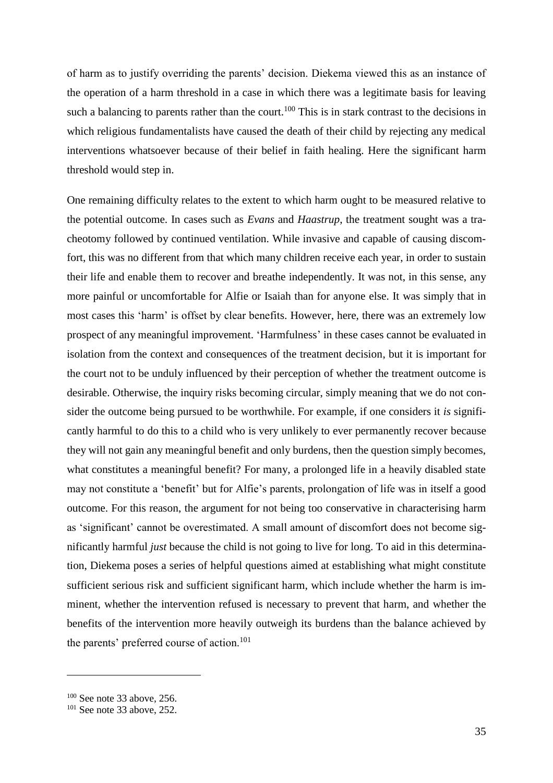of harm as to justify overriding the parents' decision. Diekema viewed this as an instance of the operation of a harm threshold in a case in which there was a legitimate basis for leaving such a balancing to parents rather than the court.<sup>100</sup> This is in stark contrast to the decisions in which religious fundamentalists have caused the death of their child by rejecting any medical interventions whatsoever because of their belief in faith healing. Here the significant harm threshold would step in.

One remaining difficulty relates to the extent to which harm ought to be measured relative to the potential outcome. In cases such as *Evans* and *Haastrup*, the treatment sought was a tracheotomy followed by continued ventilation. While invasive and capable of causing discomfort, this was no different from that which many children receive each year, in order to sustain their life and enable them to recover and breathe independently. It was not, in this sense, any more painful or uncomfortable for Alfie or Isaiah than for anyone else. It was simply that in most cases this 'harm' is offset by clear benefits. However, here, there was an extremely low prospect of any meaningful improvement. 'Harmfulness' in these cases cannot be evaluated in isolation from the context and consequences of the treatment decision, but it is important for the court not to be unduly influenced by their perception of whether the treatment outcome is desirable. Otherwise, the inquiry risks becoming circular, simply meaning that we do not consider the outcome being pursued to be worthwhile. For example, if one considers it *is* significantly harmful to do this to a child who is very unlikely to ever permanently recover because they will not gain any meaningful benefit and only burdens, then the question simply becomes, what constitutes a meaningful benefit? For many, a prolonged life in a heavily disabled state may not constitute a 'benefit' but for Alfie's parents, prolongation of life was in itself a good outcome. For this reason, the argument for not being too conservative in characterising harm as 'significant' cannot be overestimated. A small amount of discomfort does not become significantly harmful *just* because the child is not going to live for long. To aid in this determination, Diekema poses a series of helpful questions aimed at establishing what might constitute sufficient serious risk and sufficient significant harm, which include whether the harm is imminent, whether the intervention refused is necessary to prevent that harm, and whether the benefits of the intervention more heavily outweigh its burdens than the balance achieved by the parents' preferred course of action.<sup>101</sup>

<sup>100</sup> See note [33](#page-13-1) above, 256.

 $101$  See note [33](#page-13-1) above, 252.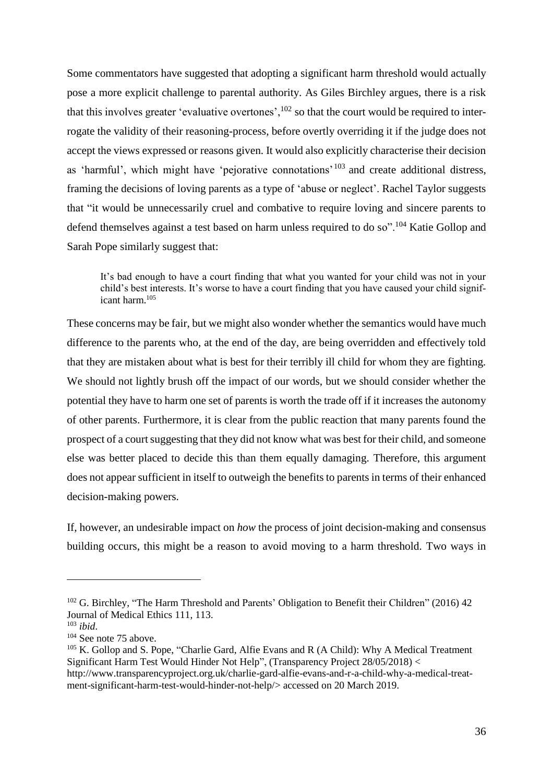Some commentators have suggested that adopting a significant harm threshold would actually pose a more explicit challenge to parental authority. As Giles Birchley argues, there is a risk that this involves greater 'evaluative overtones',  $102$  so that the court would be required to interrogate the validity of their reasoning-process, before overtly overriding it if the judge does not accept the views expressed or reasons given. It would also explicitly characterise their decision as 'harmful', which might have 'pejorative connotations'<sup>103</sup> and create additional distress, framing the decisions of loving parents as a type of 'abuse or neglect'. Rachel Taylor suggests that "it would be unnecessarily cruel and combative to require loving and sincere parents to defend themselves against a test based on harm unless required to do so".<sup>104</sup> Katie Gollop and Sarah Pope similarly suggest that:

<span id="page-35-0"></span>It's bad enough to have a court finding that what you wanted for your child was not in your child's best interests. It's worse to have a court finding that you have caused your child significant harm. 105

These concerns may be fair, but we might also wonder whether the semantics would have much difference to the parents who, at the end of the day, are being overridden and effectively told that they are mistaken about what is best for their terribly ill child for whom they are fighting. We should not lightly brush off the impact of our words, but we should consider whether the potential they have to harm one set of parents is worth the trade off if it increases the autonomy of other parents. Furthermore, it is clear from the public reaction that many parents found the prospect of a court suggesting that they did not know what was best for their child, and someone else was better placed to decide this than them equally damaging. Therefore, this argument does not appear sufficient in itself to outweigh the benefits to parents in terms of their enhanced decision-making powers.

If, however, an undesirable impact on *how* the process of joint decision-making and consensus building occurs, this might be a reason to avoid moving to a harm threshold. Two ways in

<sup>&</sup>lt;sup>102</sup> G. Birchley, "The Harm Threshold and Parents' Obligation to Benefit their Children" (2016) 42 Journal of Medical Ethics 111, 113.

<sup>103</sup> *ibid*.

<sup>104</sup> See note [75](#page-25-0) above.

 $105$  K. Gollop and S. Pope, "Charlie Gard, Alfie Evans and R (A Child): Why A Medical Treatment Significant Harm Test Would Hinder Not Help", (Transparency Project 28/05/2018) <

http://www.transparencyproject.org.uk/charlie-gard-alfie-evans-and-r-a-child-why-a-medical-treatment-significant-harm-test-would-hinder-not-help/> accessed on 20 March 2019.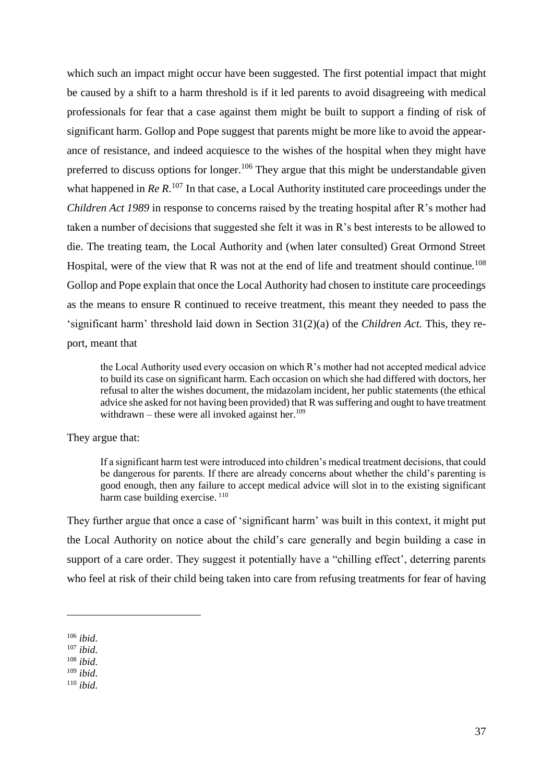which such an impact might occur have been suggested. The first potential impact that might be caused by a shift to a harm threshold is if it led parents to avoid disagreeing with medical professionals for fear that a case against them might be built to support a finding of risk of significant harm. Gollop and Pope suggest that parents might be more like to avoid the appearance of resistance, and indeed acquiesce to the wishes of the hospital when they might have preferred to discuss options for longer.<sup>106</sup> They argue that this might be understandable given what happened in *Re R*.<sup>107</sup> In that case, a Local Authority instituted care proceedings under the *Children Act 1989* in response to concerns raised by the treating hospital after R's mother had taken a number of decisions that suggested she felt it was in R's best interests to be allowed to die. The treating team, the Local Authority and (when later consulted) Great Ormond Street Hospital, were of the view that R was not at the end of life and treatment should continue.<sup>108</sup> Gollop and Pope explain that once the Local Authority had chosen to institute care proceedings as the means to ensure R continued to receive treatment, this meant they needed to pass the 'significant harm' threshold laid down in Section 31(2)(a) of the *Children Act.* This, they report, meant that

the Local Authority used every occasion on which R's mother had not accepted medical advice to build its case on significant harm. Each occasion on which she had differed with doctors, her refusal to alter the wishes document, the midazolam incident, her public statements (the ethical advice she asked for not having been provided) that R was suffering and ought to have treatment withdrawn – these were all invoked against her. $109$ 

#### They argue that:

If a significant harm test were introduced into children's medical treatment decisions, that could be dangerous for parents. If there are already concerns about whether the child's parenting is good enough, then any failure to accept medical advice will slot in to the existing significant harm case building exercise.<sup>110</sup>

They further argue that once a case of 'significant harm' was built in this context, it might put the Local Authority on notice about the child's care generally and begin building a case in support of a care order. They suggest it potentially have a "chilling effect", deterring parents who feel at risk of their child being taken into care from refusing treatments for fear of having

<sup>106</sup> *ibid*.

<sup>107</sup> *ibid*.

<sup>108</sup> *ibid*.

<sup>109</sup> *ibid*.

<sup>110</sup> *ibid*.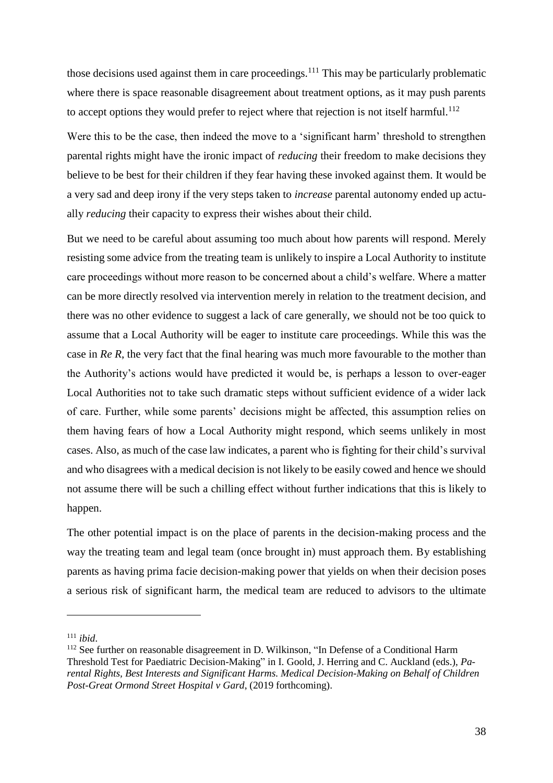those decisions used against them in care proceedings.<sup>111</sup> This may be particularly problematic where there is space reasonable disagreement about treatment options, as it may push parents to accept options they would prefer to reject where that rejection is not itself harmful.<sup>112</sup>

<span id="page-37-0"></span>Were this to be the case, then indeed the move to a 'significant harm' threshold to strengthen parental rights might have the ironic impact of *reducing* their freedom to make decisions they believe to be best for their children if they fear having these invoked against them. It would be a very sad and deep irony if the very steps taken to *increase* parental autonomy ended up actually *reducing* their capacity to express their wishes about their child.

But we need to be careful about assuming too much about how parents will respond. Merely resisting some advice from the treating team is unlikely to inspire a Local Authority to institute care proceedings without more reason to be concerned about a child's welfare. Where a matter can be more directly resolved via intervention merely in relation to the treatment decision, and there was no other evidence to suggest a lack of care generally, we should not be too quick to assume that a Local Authority will be eager to institute care proceedings. While this was the case in *Re R*, the very fact that the final hearing was much more favourable to the mother than the Authority's actions would have predicted it would be, is perhaps a lesson to over-eager Local Authorities not to take such dramatic steps without sufficient evidence of a wider lack of care. Further, while some parents' decisions might be affected, this assumption relies on them having fears of how a Local Authority might respond, which seems unlikely in most cases. Also, as much of the case law indicates, a parent who is fighting for their child's survival and who disagrees with a medical decision is not likely to be easily cowed and hence we should not assume there will be such a chilling effect without further indications that this is likely to happen.

The other potential impact is on the place of parents in the decision-making process and the way the treating team and legal team (once brought in) must approach them. By establishing parents as having prima facie decision-making power that yields on when their decision poses a serious risk of significant harm, the medical team are reduced to advisors to the ultimate

<sup>111</sup> *ibid*.

<sup>&</sup>lt;sup>112</sup> See further on reasonable disagreement in D. Wilkinson, "In Defense of a Conditional Harm Threshold Test for Paediatric Decision-Making" in I. Goold, J. Herring and C. Auckland (eds.), *Parental Rights, Best Interests and Significant Harms. Medical Decision-Making on Behalf of Children Post-Great Ormond Street Hospital v Gard*, (2019 forthcoming).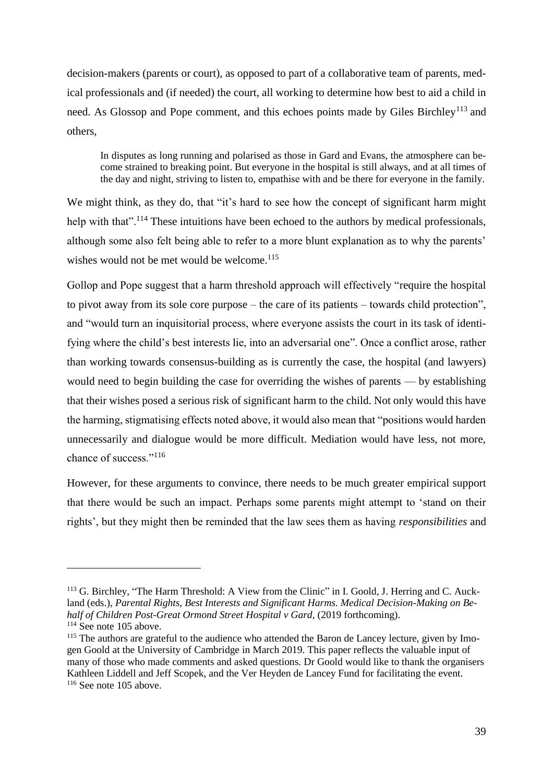decision-makers (parents or court), as opposed to part of a collaborative team of parents, medical professionals and (if needed) the court, all working to determine how best to aid a child in need. As Glossop and Pope comment, and this echoes points made by Giles Birchley<sup>113</sup> and others,

<span id="page-38-0"></span>In disputes as long running and polarised as those in Gard and Evans, the atmosphere can become strained to breaking point. But everyone in the hospital is still always, and at all times of the day and night, striving to listen to, empathise with and be there for everyone in the family.

We might think, as they do, that "it's hard to see how the concept of significant harm might help with that".<sup>114</sup> These intuitions have been echoed to the authors by medical professionals, although some also felt being able to refer to a more blunt explanation as to why the parents' wishes would not be met would be welcome.<sup>115</sup>

Gollop and Pope suggest that a harm threshold approach will effectively "require the hospital to pivot away from its sole core purpose – the care of its patients – towards child protection", and "would turn an inquisitorial process, where everyone assists the court in its task of identifying where the child's best interests lie, into an adversarial one". Once a conflict arose, rather than working towards consensus-building as is currently the case, the hospital (and lawyers) would need to begin building the case for overriding the wishes of parents — by establishing that their wishes posed a serious risk of significant harm to the child. Not only would this have the harming, stigmatising effects noted above, it would also mean that "positions would harden unnecessarily and dialogue would be more difficult. Mediation would have less, not more, chance of success."116

However, for these arguments to convince, there needs to be much greater empirical support that there would be such an impact. Perhaps some parents might attempt to 'stand on their rights', but they might then be reminded that the law sees them as having *responsibilities* and

<sup>&</sup>lt;sup>113</sup> G. Birchley, "The Harm Threshold: A View from the Clinic" in I. Goold, J. Herring and C. Auckland (eds.), *Parental Rights, Best Interests and Significant Harms. Medical Decision-Making on Behalf of Children Post-Great Ormond Street Hospital v Gard*, (2019 forthcoming). <sup>114</sup> See note [105](#page-35-0) above.

<sup>&</sup>lt;sup>115</sup> The authors are grateful to the audience who attended the Baron de Lancey lecture, given by Imogen Goold at the University of Cambridge in March 2019. This paper reflects the valuable input of many of those who made comments and asked questions. Dr Goold would like to thank the organisers Kathleen Liddell and Jeff Scopek, and the Ver Heyden de Lancey Fund for facilitating the event. <sup>116</sup> See note [105](#page-35-0) above.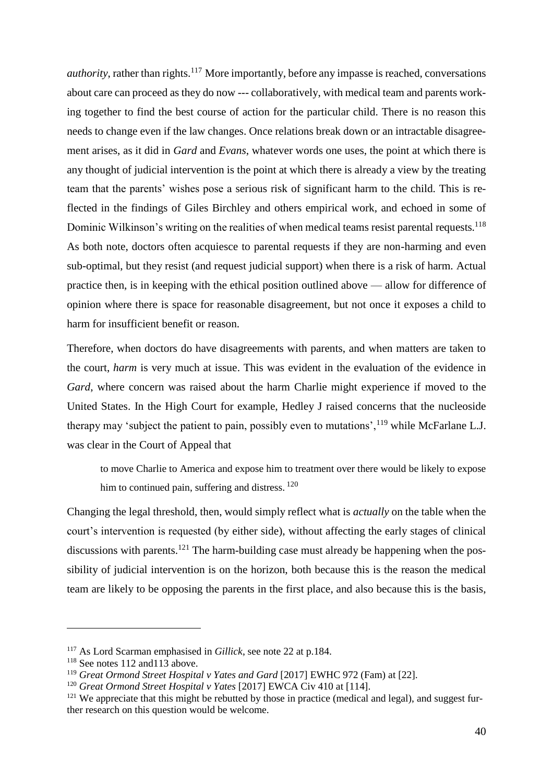*authority*, rather than rights.<sup>117</sup> More importantly, before any impasse is reached, conversations about care can proceed as they do now --- collaboratively, with medical team and parents working together to find the best course of action for the particular child. There is no reason this needs to change even if the law changes. Once relations break down or an intractable disagreement arises, as it did in *Gard* and *Evans*, whatever words one uses, the point at which there is any thought of judicial intervention is the point at which there is already a view by the treating team that the parents' wishes pose a serious risk of significant harm to the child. This is reflected in the findings of Giles Birchley and others empirical work, and echoed in some of Dominic Wilkinson's writing on the realities of when medical teams resist parental requests.<sup>118</sup> As both note, doctors often acquiesce to parental requests if they are non-harming and even sub-optimal, but they resist (and request judicial support) when there is a risk of harm. Actual practice then, is in keeping with the ethical position outlined above — allow for difference of opinion where there is space for reasonable disagreement, but not once it exposes a child to harm for insufficient benefit or reason.

Therefore, when doctors do have disagreements with parents, and when matters are taken to the court, *harm* is very much at issue. This was evident in the evaluation of the evidence in *Gard*, where concern was raised about the harm Charlie might experience if moved to the United States. In the High Court for example, Hedley J raised concerns that the nucleoside therapy may 'subject the patient to pain, possibly even to mutations',  $^{119}$  while McFarlane L.J. was clear in the Court of Appeal that

<span id="page-39-1"></span><span id="page-39-0"></span>to move Charlie to America and expose him to treatment over there would be likely to expose him to continued pain, suffering and distress. <sup>120</sup>

Changing the legal threshold, then, would simply reflect what is *actually* on the table when the court's intervention is requested (by either side), without affecting the early stages of clinical discussions with parents.<sup>121</sup> The harm-building case must already be happening when the possibility of judicial intervention is on the horizon, both because this is the reason the medical team are likely to be opposing the parents in the first place, and also because this is the basis,

<sup>117</sup> As Lord Scarman emphasised in *Gillick*, see note [22](#page-9-0) at p.184.

<sup>&</sup>lt;sup>118</sup> See notes [112](#page-37-0) and 113 above.

<sup>119</sup> *Great Ormond Street Hospital v Yates and Gard* [2017] EWHC 972 (Fam) at [22].

<sup>120</sup> *Great Ormond Street Hospital v Yates* [2017] EWCA Civ 410 at [114].

 $121$  We appreciate that this might be rebutted by those in practice (medical and legal), and suggest further research on this question would be welcome.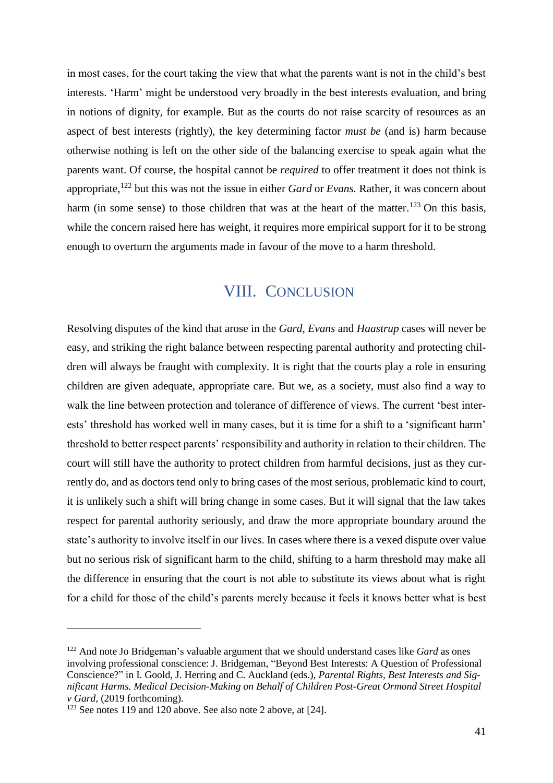in most cases, for the court taking the view that what the parents want is not in the child's best interests. 'Harm' might be understood very broadly in the best interests evaluation, and bring in notions of dignity, for example. But as the courts do not raise scarcity of resources as an aspect of best interests (rightly), the key determining factor *must be* (and is) harm because otherwise nothing is left on the other side of the balancing exercise to speak again what the parents want. Of course, the hospital cannot be *required* to offer treatment it does not think is appropriate,<sup>122</sup> but this was not the issue in either *Gard* or *Evans.* Rather, it was concern about harm (in some sense) to those children that was at the heart of the matter.<sup>123</sup> On this basis, while the concern raised here has weight, it requires more empirical support for it to be strong enough to overturn the arguments made in favour of the move to a harm threshold.

### VIII. CONCLUSION

Resolving disputes of the kind that arose in the *Gard, Evans* and *Haastrup* cases will never be easy, and striking the right balance between respecting parental authority and protecting children will always be fraught with complexity. It is right that the courts play a role in ensuring children are given adequate, appropriate care. But we, as a society, must also find a way to walk the line between protection and tolerance of difference of views. The current 'best interests' threshold has worked well in many cases, but it is time for a shift to a 'significant harm' threshold to better respect parents' responsibility and authority in relation to their children. The court will still have the authority to protect children from harmful decisions, just as they currently do, and as doctors tend only to bring cases of the most serious, problematic kind to court, it is unlikely such a shift will bring change in some cases. But it will signal that the law takes respect for parental authority seriously, and draw the more appropriate boundary around the state's authority to involve itself in our lives. In cases where there is a vexed dispute over value but no serious risk of significant harm to the child, shifting to a harm threshold may make all the difference in ensuring that the court is not able to substitute its views about what is right for a child for those of the child's parents merely because it feels it knows better what is best

<sup>122</sup> And note Jo Bridgeman's valuable argument that we should understand cases like *Gard* as ones involving professional conscience: J. Bridgeman, "Beyond Best Interests: A Question of Professional Conscience?" in I. Goold, J. Herring and C. Auckland (eds.), *Parental Rights, Best Interests and Significant Harms. Medical Decision-Making on Behalf of Children Post-Great Ormond Street Hospital v Gard*, (2019 forthcoming).

<sup>&</sup>lt;sup>123</sup> See notes [119](#page-39-0) and [120](#page-39-1) above. See also note [2](#page-1-0) above, at [24].